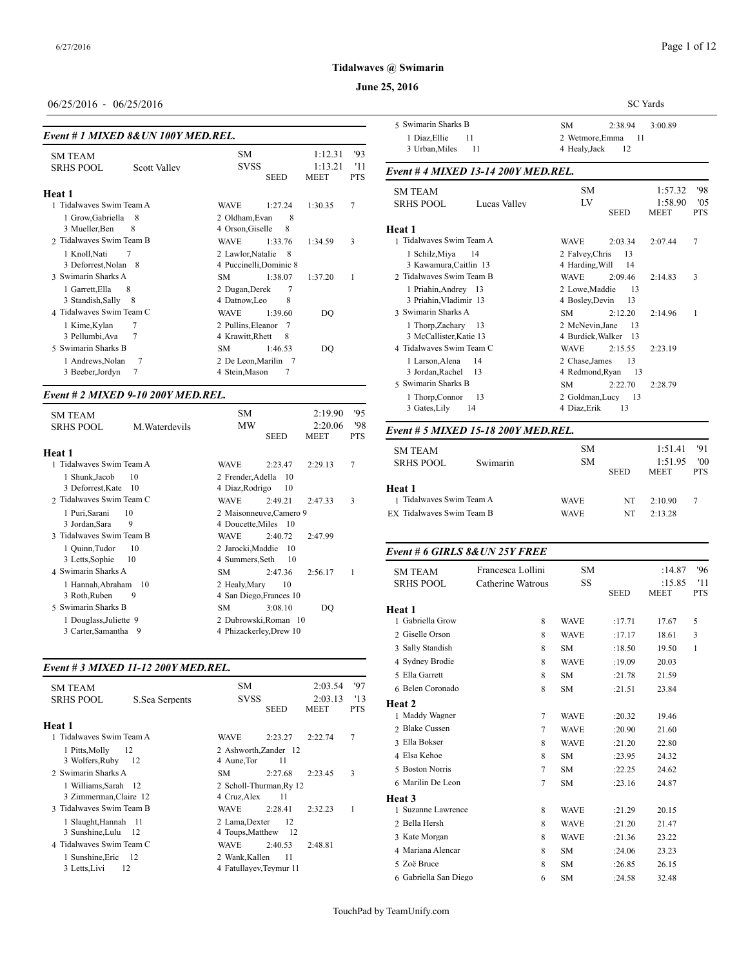#### **June 25, 2016**

# 06/25/2016 - 06/25/2016

|  | Event # 1 MIXED 8& UN 100Y MED.REL. |  |
|--|-------------------------------------|--|
|  |                                     |  |

| <b>SM TEAM</b>           |                | <b>SM</b>          |                         | 1:12.31         | '93               | 3 UP Of UPLATING |
|--------------------------|----------------|--------------------|-------------------------|-----------------|-------------------|------------------|
| <b>SRHS POOL</b>         | Scott Valley   | <b>SVSS</b>        | <b>SEED</b>             | 1:13.21<br>MEET | '11<br><b>PTS</b> | Event #4 MIXE    |
| Heat 1                   |                |                    |                         |                 |                   | <b>SM TEAM</b>   |
| 1 Tidalwaves Swim Team A |                | <b>WAVE</b>        | 1:27.24                 | 1:30.35         | 7                 | <b>SRHS POOL</b> |
| 1 Grow, Gabriella        | -8             | 2 Oldham, Evan     | 8                       |                 |                   |                  |
| 3 Mueller, Ben           | 8              | 4 Orson, Giselle   | 8                       |                 |                   | Heat 1           |
| 2 Tidalwaves Swim Team B |                | <b>WAVE</b>        | 1:33.76                 | 1:34.59         | 3                 | 1 Tidalwaves Swi |
| 1 Knoll, Nati            | 7              | 2 Lawlor, Natalie  | - 8                     |                 |                   | 1 Schilz, Miya   |
| 3 Deforrest, Nolan 8     |                |                    | 4 Puccinelli, Dominic 8 |                 |                   | 3 Kawamura, C    |
| 3 Swimarin Sharks A      |                | <b>SM</b>          | 1:38.07                 | 1:37.20         | 1                 | 2 Tidalwaves Swi |
| 1 Garrett, Ella          | 8              | 2 Dugan, Derek     | $\overline{7}$          |                 |                   | 1 Priahin, Andr  |
| 3 Standish, Sally        | - 8            | 4 Datnow, Leo      | 8                       |                 |                   | 3 Priahin, Vlad  |
| 4 Tidalwaves Swim Team C |                | <b>WAVE</b>        | 1:39.60                 | DO              |                   | 3 Swimarin Shark |
| 1 Kime, Kylan            | 7              | 2 Pullins, Eleanor | - 7                     |                 |                   | 1 Thorp, Zacha   |
| 3 Pellumbi, Ava          | 7              | 4 Krawitt, Rhett   | 8                       |                 |                   | 3 McCallister, I |
| 5 Swimarin Sharks B      |                | SM.                | 1:46.53                 | DO              |                   | 4 Tidalwaves Swi |
| 1 Andrews, Nolan         | $\overline{7}$ |                    | 2 De Leon, Marilin 7    |                 |                   | 1 Larson, Alena  |
| 3 Beeber, Jordyn         | 7              | 4 Stein, Mason     | 7                       |                 |                   | 3 Jordan, Rache  |
|                          |                |                    |                         |                 |                   |                  |

#### *Event # 2 MIXED 9-10 200Y MED.REL.*

| <b>SM TEAM</b>                      |                | <b>SM</b>                            |                                                 | 2:19.90                | 95                | 3 Gates, Lily             | 14                                  | 4 Diaz, Erik | 1          |
|-------------------------------------|----------------|--------------------------------------|-------------------------------------------------|------------------------|-------------------|---------------------------|-------------------------------------|--------------|------------|
| <b>SRHS POOL</b>                    | M. Waterdevils | <b>MW</b>                            | <b>SEED</b>                                     | 2:20.06<br><b>MEET</b> | '98<br><b>PTS</b> |                           | Event # 5 MIXED 15-18 200Y MED.REL. |              |            |
| Heat 1                              |                |                                      |                                                 |                        |                   | <b>SM TEAM</b>            |                                     | <b>SM</b>    |            |
| 1 Tidalwayes Swim Team A            |                | <b>WAVE</b>                          | 2:23.47                                         | 2:29.13                | 7                 | <b>SRHS POOL</b>          | Swimarin                            | <b>SM</b>    |            |
| 1 Shunk, Jacob<br>3 Deforrest, Kate | 10<br>10       | 2 Frender, Adella<br>4 Diaz, Rodrigo | -10<br>10                                       |                        |                   | <b>Heat 1</b>             |                                     |              | <b>SEE</b> |
| 2 Tidalwaves Swim Team C            |                | <b>WAVE</b>                          | 2:49.21                                         | 2:47.33                | 3                 | 1 Tidalwaves Swim Team A  |                                     | <b>WAVE</b>  |            |
| 1 Puri, Sarani<br>3 Jordan, Sara    | 10<br>9        |                                      | 2 Maisonneuve, Camero 9<br>4 Doucette, Miles 10 |                        |                   | EX Tidalwaves Swim Team B |                                     | <b>WAVE</b>  |            |
| 3 Tidalwaves Swim Team B            |                | <b>WAVE</b>                          | 2:40.72                                         | 2:47.99                |                   |                           |                                     |              |            |
| 1 Quinn, Tudor<br>3 Letts, Sophie   | 10<br>10       | 2 Jarocki, Maddie<br>4 Summers, Seth | -10<br>10                                       |                        |                   |                           | Event # 6 GIRLS 8& UN 25Y FREE      |              |            |
| 4 Swimarin Sharks A                 |                | SM.                                  | 2:47.36                                         | 2:56.17                |                   | <b>SM TEAM</b>            | Francesca Lollini                   | <b>SM</b>    |            |
| 1 Hannah, Abraham 10                |                | 2 Healy, Mary                        | 10                                              |                        |                   | <b>SRHS POOL</b>          | Catherine Watrous                   | SS           |            |
| 3 Roth, Ruben                       | 9              |                                      | 4 San Diego, Frances 10                         |                        |                   |                           |                                     |              | <b>SEE</b> |
| 5 Swimarin Sharks B                 |                | SM.                                  | 3:08.10                                         | DO.                    |                   | Heat 1                    |                                     |              |            |
| 1 Douglass, Juliette 9              |                |                                      | 2 Dubrowski, Roman 10                           |                        |                   | Gabriella Grow            | 8                                   | <b>WAVE</b>  | :17        |
| 3 Carter, Samantha 9                |                |                                      | 4 Phizackerley, Drew 10                         |                        |                   | 2 Giselle Orson           | Q                                   | <b>WAVE</b>  | .17        |

#### *Event # 3 MIXED 11-12 200Y MED.REL.*

| <b>SM TEAM</b>                    |                | <b>SM</b>                            |             | 2:03.54                | '97               | 6 Belen Coronado         |
|-----------------------------------|----------------|--------------------------------------|-------------|------------------------|-------------------|--------------------------|
| <b>SRHS POOL</b>                  | S.Sea Serpents | <b>SVSS</b>                          | <b>SEED</b> | 2:03.13<br><b>MEET</b> | '13<br><b>PTS</b> | Heat 2<br>1 Maddy Wagner |
| Heat 1                            |                |                                      |             |                        |                   | 2 Blake Cussen           |
| 1 Tidalwaves Swim Team A          |                | <b>WAVE</b>                          | 2:23.27     | 2:22.74                | 7                 | 3 Ella Bokser            |
| 1 Pitts, Molly<br>3 Wolfers, Ruby | 12<br>- 12     | 2 Ashworth, Zander 12<br>4 Aune, Tor | 11          |                        |                   | 4 Elsa Kehoe             |
| 2 Swimarin Sharks A               |                | SM.                                  | 2:27.68     | 2:23.45                | 3                 | 5 Boston Norris          |
| 1 Williams, Sarah 12              |                | 2 Scholl-Thurman, Ry 12              |             |                        |                   | 6 Marilin De Leor        |
| 3 Zimmerman, Claire 12            |                | 4 Cruz, Alex                         | 11          |                        |                   | Heat 3                   |
| 3 Tidalwaves Swim Team B          |                | <b>WAVE</b>                          | 2:28.41     | 2:32.23                | 1                 | 1 Suzanne Lawrer         |
| 1 Slaught, Hannah 11              |                | 2 Lama, Dexter                       | 12          |                        |                   | 2 Bella Hersh            |
| 3 Sunshine, Lulu                  | - 12           | 4 Toups, Matthew                     | - 12        |                        |                   | 3 Kate Morgan            |
| 4 Tidalwaves Swim Team C          |                | <b>WAVE</b>                          | 2:40.53     | 2:48.81                |                   | 4 Mariana Alencar        |
| 1 Sunshine, Eric                  | 12             | 2 Wank, Kallen                       | 11          |                        |                   | 5 Zoë Bruce              |
| 3 Letts, Livi                     | 12             | 4 Fatullayev, Teymur 11              |             |                        |                   |                          |

|                                     | <b>SC</b> Yards                                                  |
|-------------------------------------|------------------------------------------------------------------|
| 5 Swimarin Sharks B                 | <b>SM</b><br>2:38.94<br>3:00.89                                  |
| 1 Diaz, Ellie<br>11                 | 2 Wetmore, Emma<br>-11                                           |
| 3 Urban, Miles<br>11                | 12<br>4 Healy, Jack                                              |
| Event # 4 MIXED 13-14 200Y MED.REL. |                                                                  |
| <b>SM TEAM</b>                      | <b>SM</b><br>'98<br>1:57.32                                      |
| <b>SRHS POOL</b><br>Lucas Valley    | LV<br>1:58.90<br>'05<br><b>SEED</b><br><b>PTS</b><br><b>MEET</b> |
| Heat 1                              |                                                                  |
| 1 Tidalwayes Swim Team A            | 7<br><b>WAVE</b><br>2:03.34<br>2:07.44                           |
| 1 Schilz, Miya<br>14                | 2 Falvey, Chris<br>13                                            |
| 3 Kawamura, Caitlin 13              | 4 Harding, Will<br>14                                            |
| 2 Tidalwayes Swim Team B            | <b>WAVE</b><br>2:09.46<br>3<br>2:14.83                           |
| 1 Priahin, Andrey 13                | 2 Lowe, Maddie<br>13                                             |
| 3 Priahin, Vladimir 13              | 4 Boslev.Devin<br>13                                             |
| 3 Swimarin Sharks A                 | <b>SM</b><br>2:12.20<br>2:14.96<br>1                             |
| 1 Thorp, Zachary 13                 | 2 McNevin, Jane<br>13                                            |
| 3 McCallister, Katie 13             | 4 Burdick, Walker 13                                             |
| 4 Tidalwayes Swim Team C            | <b>WAVE</b><br>2:15.55<br>2:23.19                                |
| 1 Larson, Alena<br>14               | 2 Chase, James<br>13                                             |
| 3 Jordan, Rachel<br>13              | 4 Redmond, Ryan<br>13                                            |
| 5 Swimarin Sharks B                 | <b>SM</b><br>2:22.70<br>2:28.79                                  |
| 1 Thorp, Connor<br>-13              | 2 Goldman.Lucv<br>- 13                                           |
| 3 Gates, Lily<br>14                 | 4 Diaz, Erik<br>13                                               |

| <b>SM TEAM</b><br><b>SRHS POOL</b> | Swimarin | <b>SM</b><br>SM. | <b>SEED</b> | 1:51.41<br>1:51.95<br><b>MEET</b> | - '91<br>'00<br><b>PTS</b> |
|------------------------------------|----------|------------------|-------------|-----------------------------------|----------------------------|
| Heat 1                             |          |                  |             |                                   |                            |
| 1 Tidalwaves Swim Team A           |          | <b>WAVE</b>      | NT          | 2:10.90                           | 7                          |
| EX Tidalwaves Swim Team B          |          | <b>WAVE</b>      | NT          | 2.13.28                           |                            |

#### *Event # 6 GIRLS 8&UN 25Y FREE*

| <b>SM TEAM</b>        | Francesca Lollini | <b>SM</b>   |             | :14.87                | '96               |
|-----------------------|-------------------|-------------|-------------|-----------------------|-------------------|
| <b>SRHS POOL</b>      | Catherine Watrous | SS          | <b>SEED</b> | :15.85<br><b>MEET</b> | '11<br><b>PTS</b> |
| Heat 1                |                   |             |             |                       |                   |
| 1 Gabriella Grow      | 8                 | <b>WAVE</b> | :17.71      | 17.67                 | 5                 |
| 2 Giselle Orson       | 8                 | <b>WAVE</b> | :17.17      | 18.61                 | 3                 |
| 3 Sally Standish      | 8                 | <b>SM</b>   | :18.50      | 19.50                 | $\mathbf{1}$      |
| 4 Sydney Brodie       | 8                 | <b>WAVE</b> | :19.09      | 20.03                 |                   |
| 5 Ella Garrett        | 8                 | <b>SM</b>   | :21.78      | 21.59                 |                   |
| 6 Belen Coronado      | 8                 | SM          | :21.51      | 23.84                 |                   |
| Heat 2                |                   |             |             |                       |                   |
| 1 Maddy Wagner        | 7                 | <b>WAVE</b> | :20.32      | 19.46                 |                   |
| 2 Blake Cussen        | 7                 | <b>WAVE</b> | :20.90      | 21.60                 |                   |
| 3 Ella Bokser         | 8                 | <b>WAVE</b> | :21.20      | 22.80                 |                   |
| 4 Elsa Kehoe          | 8                 | <b>SM</b>   | :23.95      | 24.32                 |                   |
| 5 Boston Norris       | $\overline{7}$    | <b>SM</b>   | :22.25      | 24.62                 |                   |
| 6 Marilin De Leon     | $\overline{7}$    | SM          | : 23.16     | 24.87                 |                   |
| Heat 3                |                   |             |             |                       |                   |
| 1 Suzanne Lawrence    | 8                 | <b>WAVE</b> | :21.29      | 20.15                 |                   |
| 2 Bella Hersh         | 8                 | <b>WAVE</b> | :21.20      | 21.47                 |                   |
| 3 Kate Morgan         | 8                 | <b>WAVE</b> | :21.36      | 23.22                 |                   |
| 4 Mariana Alencar     | 8                 | <b>SM</b>   | :24.06      | 23.23                 |                   |
| 5 Zoë Bruce           | 8                 | <b>SM</b>   | :26.85      | 26.15                 |                   |
| 6 Gabriella San Diego | 6                 | SM          | :24.58      | 32.48                 |                   |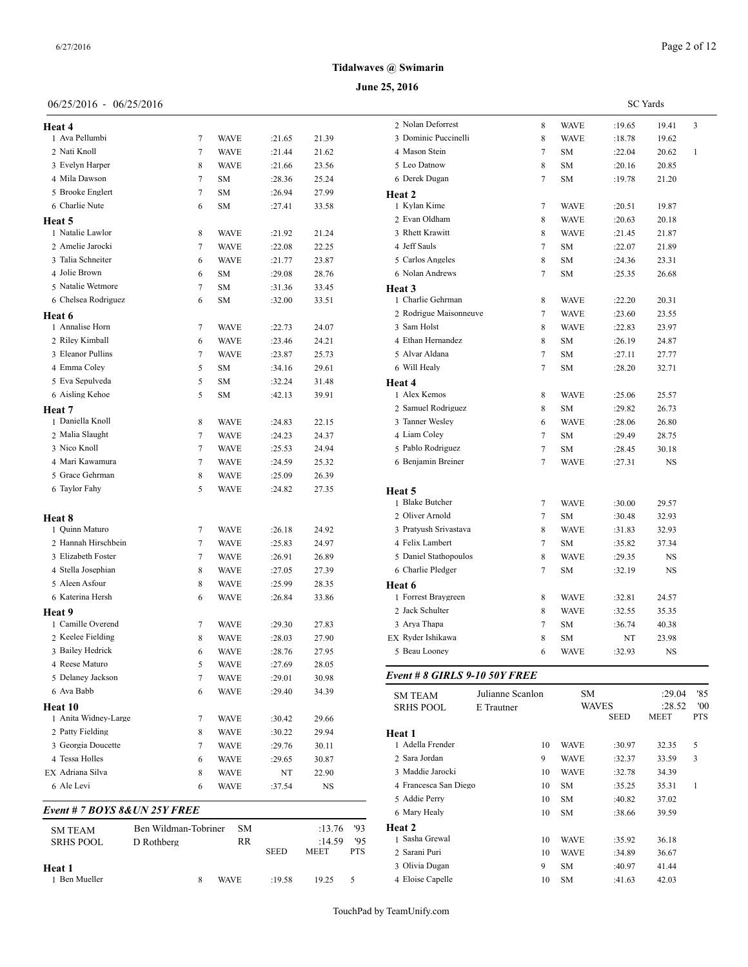# 06/25/2016 - 06/25/2016

| Heat 4                        |   |             |        |       | 2 Nolan   |
|-------------------------------|---|-------------|--------|-------|-----------|
| 1 Ava Pellumbi                | 7 | WAVE        | :21.65 | 21.39 | 3 Domir   |
| 2 Nati Knoll                  | 7 | <b>WAVE</b> | :21.44 | 21.62 | 4 Masor   |
| 3 Evelyn Harper               | 8 | <b>WAVE</b> | :21.66 | 23.56 | 5 Leo D   |
| 4 Mila Dawson                 | 7 | SM          | :28.36 | 25.24 | 6 Derek   |
| 5 Brooke Englert              | 7 | SΜ          | :26.94 | 27.99 | Heat 2    |
| 6 Charlie Nute                | 6 | SM          | :27.41 | 33.58 | 1 Kylan   |
| Heat 5                        |   |             |        |       | 2 Evan 0  |
| 1 Natalie Lawlor              | 8 | <b>WAVE</b> | :21.92 | 21.24 | 3 Rhett 1 |
| 2 Amelie Jarocki              | 7 | <b>WAVE</b> | :22.08 | 22.25 | 4 Jeff Sa |
| 3 Talia Schneiter             | 6 | <b>WAVE</b> | :21.77 | 23.87 | 5 Carlos  |
| 4 Jolie Brown                 | 6 | SM          | :29.08 | 28.76 | 6 Nolan   |
| 5 Natalie Wetmore             | 7 | SM          | :31.36 | 33.45 | Heat 3    |
| 6 Chelsea Rodriguez           | 6 | SΜ          | :32.00 | 33.51 | 1 Charli  |
| Heat 6                        |   |             |        |       | 2 Rodrig  |
| 1 Annalise Horn               | 7 | WAVE        | :22.73 | 24.07 | 3 Sam H   |
| 2 Riley Kimball               | 6 | <b>WAVE</b> | :23.46 | 24.21 | 4 Ethan   |
| 3 Eleanor Pullins             | 7 | <b>WAVE</b> | :23.87 | 25.73 | 5 Alvar   |
| 4 Emma Coley                  | 5 | SM          | :34.16 | 29.61 | 6 Will H  |
| 5 Eva Sepulveda               | 5 | <b>SM</b>   | :32.24 | 31.48 | Heat 4    |
| 6 Aisling Kehoe               | 5 | <b>SM</b>   | :42.13 | 39.91 | 1 Alex F  |
| Heat 7                        |   |             |        |       | 2 Samue   |
| 1 Daniella Knoll              | 8 | <b>WAVE</b> | :24.83 | 22.15 | 3 Tanner  |
| 2 Malia Slaught               | 7 | <b>WAVE</b> | :24.23 | 24.37 | 4 Liam    |
| 3 Nico Knoll                  | 7 | <b>WAVE</b> | :25.53 | 24.94 | 5 Pablo   |
| 4 Mari Kawamura               | 7 | <b>WAVE</b> | :24.59 | 25.32 | 6 Benjar  |
| 5 Grace Gehrman               | 8 | <b>WAVE</b> | :25.09 | 26.39 |           |
| 6 Taylor Fahy                 | 5 | WAVE        | :24.82 | 27.35 | Heat 5    |
|                               |   |             |        |       | 1 Blake   |
| <b>Heat 8</b>                 |   |             |        |       | 2 Oliver  |
| 1 Quinn Maturo                | 7 | <b>WAVE</b> | :26.18 | 24.92 | 3 Pratyu  |
| 2 Hannah Hirschbein           | 7 | <b>WAVE</b> | :25.83 | 24.97 | 4 Felix I |
| 3 Elizabeth Foster            | 7 | <b>WAVE</b> | :26.91 | 26.89 | 5 Daniel  |
| 4 Stella Josephian            | 8 | <b>WAVE</b> | :27.05 | 27.39 | 6 Charli  |
| 5 Aleen Asfour                | 8 | <b>WAVE</b> | :25.99 | 28.35 | Heat 6    |
| 6 Katerina Hersh              | 6 | <b>WAVE</b> | :26.84 | 33.86 | 1 Forres  |
| Heat 9                        |   |             |        |       | 2 Jack S  |
| 1 Camille Overend             | 7 | WAVE        | :29.30 | 27.83 | 3 Arya 7  |
| 2 Keelee Fielding             | 8 | WAVE        | :28.03 | 27.90 | EX Ryder  |
| 3 Bailey Hedrick              | 6 | WAVE        | :28.76 | 27.95 | 5 Beau I  |
| 4 Reese Maturo                | 5 | WAVE        | :27.69 | 28.05 |           |
| 5 Delaney Jackson             | 7 | WAVE        | :29.01 | 30.98 | Event#    |
| 6 Ava Babb                    | 6 | <b>WAVE</b> | :29.40 | 34.39 | SM TE/    |
| <b>Heat 10</b>                |   |             |        |       | SRHS F    |
| 1 Anita Widney-Large          | 7 | WAVE        | :30.42 | 29.66 |           |
| 2 Patty Fielding              | 8 | <b>WAVE</b> | :30.22 | 29.94 | Heat 1    |
| 3 Georgia Doucette            | 7 | WAVE        | :29.76 | 30.11 | 1 Adella  |
| 4 Tessa Holles                | 6 | WAVE        | :29.65 | 30.87 | 2 Sara J  |
| EX Adriana Silva              | 8 | WAVE        | NT     | 22.90 | 3 Maddi   |
| 6 Ale Levi                    | 6 | WAVE        | :37.54 | NS    | 4 France  |
|                               |   |             |        |       | 5 Addie   |
| Event # 7 BOYS 8& UN 25Y FREE |   |             |        |       |           |

| <b>SM TEAM</b><br><b>SRHS POOL</b> | Ben Wildman-Tobriner<br>D Rothberg |   | SM.<br>RR   | <b>SEED</b> | :13.76<br>:14.59<br><b>MEET</b> | -193<br>95<br><b>PTS</b> | <b>Heat 2</b><br>1 Sasha Grewal<br>2 Sarani Puri |
|------------------------------------|------------------------------------|---|-------------|-------------|---------------------------------|--------------------------|--------------------------------------------------|
| Heat 1<br>1 Ben Mueller            |                                    | 8 | <b>WAVE</b> | $+19.58$    | 19.25                           | 5                        | 3 Olivia Dugan<br>4 Eloise Capelle               |

| 2 Nolan Deforrest      | 8              | WAVE        | :19.65 | 19.41 | 3            |
|------------------------|----------------|-------------|--------|-------|--------------|
| 3 Dominic Puccinelli   | 8              | <b>WAVE</b> | :18.78 | 19.62 |              |
| 4 Mason Stein          | $\overline{7}$ | <b>SM</b>   | :22.04 | 20.62 | $\mathbf{1}$ |
| 5 Leo Datnow           | 8              | <b>SM</b>   | :20.16 | 20.85 |              |
| 6 Derek Dugan          | 7              | <b>SM</b>   | :19.78 | 21.20 |              |
| Heat 2                 |                |             |        |       |              |
| 1 Kylan Kime           | 7              | <b>WAVE</b> | :20.51 | 19.87 |              |
| 2 Evan Oldham          | 8              | <b>WAVE</b> | :20.63 | 20.18 |              |
| 3 Rhett Krawitt        | 8              | <b>WAVE</b> | :21.45 | 21.87 |              |
| 4 Jeff Sauls           | $\overline{7}$ | <b>SM</b>   | :22.07 | 21.89 |              |
| 5 Carlos Angeles       | 8              | <b>SM</b>   | :24.36 | 23.31 |              |
| 6 Nolan Andrews        | $\overline{7}$ | <b>SM</b>   | :25.35 | 26.68 |              |
| Heat 3                 |                |             |        |       |              |
| 1 Charlie Gehrman      | 8              | <b>WAVE</b> | :22.20 | 20.31 |              |
| 2 Rodrigue Maisonneuve | 7              | WAVE        | :23.60 | 23.55 |              |
| 3 Sam Holst            | 8              | <b>WAVE</b> | :22.83 | 23.97 |              |
| 4 Ethan Hernandez      | 8              | SM          | :26.19 | 24.87 |              |
| 5 Alvar Aldana         | $\overline{7}$ | <b>SM</b>   | :27.11 | 27.77 |              |
| 6 Will Healy           | 7              | <b>SM</b>   | :28.20 | 32.71 |              |
| Heat 4                 |                |             |        |       |              |
| 1 Alex Kemos           | 8              | WAVE        | :25.06 | 25.57 |              |
| 2 Samuel Rodriguez     | 8              | <b>SM</b>   | :29.82 | 26.73 |              |
| 3 Tanner Wesley        | 6              | <b>WAVE</b> | :28.06 | 26.80 |              |
| 4 Liam Coley           | $\overline{7}$ | <b>SM</b>   | :29.49 | 28.75 |              |
| 5 Pablo Rodriguez      | $\overline{7}$ | <b>SM</b>   | :28.45 | 30.18 |              |
| 6 Benjamin Breiner     | $\overline{7}$ | <b>WAVE</b> | :27.31 | NS    |              |
|                        |                |             |        |       |              |
| Heat 5                 |                |             |        |       |              |
| 1 Blake Butcher        | 7              | <b>WAVE</b> | :30.00 | 29.57 |              |
| 2 Oliver Arnold        | $\overline{7}$ | <b>SM</b>   | :30.48 | 32.93 |              |
| 3 Pratyush Srivastava  | 8              | <b>WAVE</b> | :31.83 | 32.93 |              |
| 4 Felix Lambert        | $\overline{7}$ | <b>SM</b>   | :35.82 | 37.34 |              |
| 5 Daniel Stathopoulos  | 8              | <b>WAVE</b> | :29.35 | NS    |              |
| 6 Charlie Pledger      | 7              | SM          | :32.19 | NS    |              |
| Heat 6                 |                |             |        |       |              |
| 1 Forrest Braygreen    | 8              | WAVE        | :32.81 | 24.57 |              |
| 2 Jack Schulter        | 8              | <b>WAVE</b> | :32.55 | 35.35 |              |
| 3 Arya Thapa           | 7              | <b>SM</b>   | :36.74 | 40.38 |              |
| EX Ryder Ishikawa      | 8              | <b>SM</b>   | NT     | 23.98 |              |
| 5 Beau Looney          | 6              | WAVE        | :32.93 | NS    |              |

# *Event # 8 GIRLS 9-10 50Y FREE*

| <b>SM TEAM</b>        | Julianne Scanlon | <b>SM</b>   |              | :29.04      | '85        |
|-----------------------|------------------|-------------|--------------|-------------|------------|
| <b>SRHS POOL</b>      | E Trautner       |             | <b>WAVES</b> |             | '00        |
|                       |                  |             | <b>SEED</b>  | <b>MEET</b> | <b>PTS</b> |
| Heat 1                |                  |             |              |             |            |
| 1 Adella Frender      | 10               | <b>WAVE</b> | :30.97       | 32.35       | 5          |
| 2 Sara Jordan         | 9                | <b>WAVE</b> | :32.37       | 33.59       | 3          |
| 3 Maddie Jarocki      | 10               | <b>WAVE</b> | :32.78       | 34.39       |            |
| 4 Francesca San Diego | 10               | SM          | :35.25       | 35.31       | 1          |
| 5 Addie Perry         | 10               | SM          | :40.82       | 37.02       |            |
| 6 Mary Healy          | 10               | SM          | :38.66       | 39.59       |            |
| Heat 2                |                  |             |              |             |            |
| 1 Sasha Grewal        | 10               | <b>WAVE</b> | :35.92       | 36.18       |            |
| 2 Sarani Puri         | 10               | <b>WAVE</b> | :34.89       | 36.67       |            |
| 3 Olivia Dugan        | 9                | <b>SM</b>   | :40.97       | 41.44       |            |
| 4 Eloise Capelle      | 10               | <b>SM</b>   | :41.63       | 42.03       |            |

SC Yards

**June 25, 2016 Tidalwaves @ Swimarin**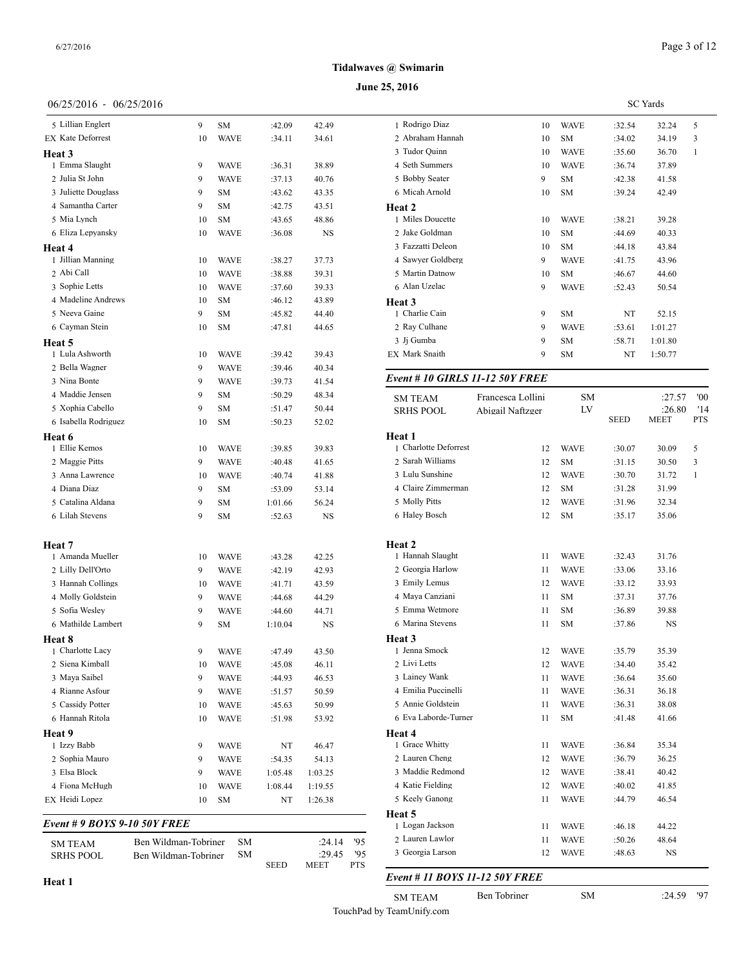# **June 25, 2016**

# 06/25/2016 - 06/25/2016

| <b>SM TEAM</b><br><b>SRHS POOL</b>         | Ben Wildman-Tobriner<br>Ben Wildman-Tobriner | SM<br>SΜ    |                   | :24.14<br>:29.45 | '95<br>'95 | 2 Laurer<br>3 Georg      |
|--------------------------------------------|----------------------------------------------|-------------|-------------------|------------------|------------|--------------------------|
| <i>Event</i> # 9 <i>BOYS</i> 9-10 50Y FREE |                                              |             |                   |                  |            | Heat 5<br>1 Logan        |
| EX Heidi Lopez                             | 10                                           | SΜ          | NT                | 1:26.38          |            | 5 Keely                  |
| 4 Fiona McHugh                             | 10                                           | <b>WAVE</b> | 1:08.44           | 1:19.55          |            | 4 Katie l                |
| 3 Elsa Block                               | 9                                            | WAVE        | 1:05.48           | 1:03.25          |            | 3 Maddi                  |
| 2 Sophia Mauro                             | 9                                            | WAVE        | :54.35            | 54.13            |            | 2 Laurer                 |
| 1 Izzy Babb                                | 9                                            | WAVE        | NT                | 46.47            |            | 1 Grace                  |
| Heat 9                                     |                                              |             |                   |                  |            | Heat 4                   |
| 6 Hannah Ritola                            | 10                                           | <b>WAVE</b> | :51.98            | 53.92            |            | 6 Eva L                  |
| 5 Cassidy Potter                           | 10                                           | <b>WAVE</b> | :45.63            | 50.99            |            | 5 Annie                  |
| 4 Rianne Asfour                            | 9                                            | <b>WAVE</b> | :51.57            | 50.59            |            | 4 Emilia                 |
| 3 Maya Saibel                              | 9                                            | WAVE        | :44.93            | 46.53            |            | 3 Lainey                 |
| 2 Siena Kimball                            | 10                                           | <b>WAVE</b> | :45.08            | 46.11            |            | 2 Livi L                 |
| 1 Charlotte Lacy                           | 9                                            | <b>WAVE</b> | :47.49            | 43.50            |            | 1 Jenna                  |
| Heat 8                                     |                                              |             |                   |                  |            | Heat 3                   |
| 6 Mathilde Lambert                         | 9                                            | SΜ          | 1:10.04           | NS               |            | 6 Marina                 |
| 5 Sofia Wesley                             | 9                                            | <b>WAVE</b> | :44.60            | 44.71            |            | 5 Emma                   |
| 4 Molly Goldstein                          | 9                                            | <b>WAVE</b> | :44.68            | 44.29            |            | 4 Maya                   |
| 3 Hannah Collings                          | 10                                           | <b>WAVE</b> | :41.71            | 43.59            |            | 3 Emily                  |
| 2 Lilly Dell'Orto                          | 9                                            | <b>WAVE</b> | :43.28<br>:42.19  | 42.25<br>42.93   |            | 2 Georg                  |
| <b>Heat</b> 7<br>1 Amanda Mueller          | 10                                           | <b>WAVE</b> |                   |                  |            | <b>Heat 2</b><br>1 Hanna |
|                                            |                                              |             |                   |                  |            |                          |
| 6 Lilah Stevens                            | 9                                            | SM          | 1:01.66<br>:52.63 | NS               |            | 6 Haley                  |
| 4 Diana Diaz<br>5 Catalina Aldana          | 9<br>9                                       | SM<br>SΜ    | :53.09            | 53.14<br>56.24   |            | 5 Molly                  |
| 3 Anna Lawrence                            | 10                                           | <b>WAVE</b> | :40.74            | 41.88            |            | 4 Claire                 |
| 2 Maggie Pitts                             | 9                                            | <b>WAVE</b> | :40.48            | 41.65            |            | 2 Sarah<br>3 Lulu S      |
| 1 Ellie Kemos                              | 10                                           | WAVE        | :39.85            | 39.83            |            | 1 Charlo                 |
| Heat 6                                     |                                              |             |                   |                  |            | Heat 1                   |
| 6 Isabella Rodriguez                       | 10                                           | SM          | :50.23            | 52.02            |            |                          |
| 5 Xophia Cabello                           | 9                                            | SM          | :51.47            | 50.44            |            | <b>SRHSF</b>             |
| 4 Maddie Jensen                            | 9                                            | SM          | :50.29            | 48.34            |            | SM TE <sub>4</sub>       |
| 3 Nina Bonte                               | 9                                            | <b>WAVE</b> | :39.73            | 41.54            |            | Event #                  |
| 2 Bella Wagner                             | 9                                            | <b>WAVE</b> | :39.46            | 40.34            |            |                          |
| 1 Lula Ashworth                            | 10                                           | <b>WAVE</b> | :39.42            | 39.43            |            | EX Mark                  |
| Heat 5                                     |                                              |             |                   |                  |            | 3 Jj Gun                 |
| 6 Cayman Stein                             | 10                                           | SΜ          | :47.81            | 44.65            |            | 2 Ray C                  |
| 5 Neeva Gaine                              | 9                                            | SM          | :45.82            | 44.40            |            | 1 Charli                 |
| 4 Madeline Andrews                         | 10                                           | SМ          | :46.12            | 43.89            |            | Heat 3                   |
| 3 Sophie Letts                             | 10                                           | <b>WAVE</b> | :37.60            | 39.33            |            | 6 Alan U                 |
| 2 Abi Call                                 | 10                                           | WAVE        | :38.88            | 39.31            |            | 5 Martin                 |
| 1 Jillian Manning                          | 10                                           | <b>WAVE</b> | :38.27            | 37.73            |            | 4 Sawye                  |
| Heat 4                                     |                                              |             |                   |                  |            | 3 Fazzat                 |
| 6 Eliza Lepyansky                          | 10                                           | <b>WAVE</b> | :36.08            | NS               |            | 2 Jake C                 |
| 5 Mia Lynch                                | 10                                           | SM          | :43.65            | 48.86            |            | 1 Miles                  |
| 4 Samantha Carter                          | 9                                            | SM          | :42.75            | 43.51            |            | Heat 2                   |
| 3 Juliette Douglass                        | 9                                            | SM          | :43.62            | 43.35            |            | 6 Micah                  |
| 2 Julia St John                            | 9                                            | <b>WAVE</b> | :37.13            | 40.76            |            | 5 Bobby                  |
| 1 Emma Slaught                             | 9                                            | <b>WAVE</b> | :36.31            | 38.89            |            | 4 Seth S                 |
| Heat 3                                     |                                              |             |                   |                  |            | 3 Tudor                  |
| <b>EX Kate Deforrest</b>                   | 10                                           | <b>WAVE</b> | :34.11            | 34.61            |            | 2 Abrah                  |
| 5 Lillian Englert                          | 9                                            | SΜ          | :42.09            | 42.49            |            | 1 Rodrig                 |
|                                            |                                              |             |                   |                  |            |                          |

Ben Wildman-Tobriner SM :29.45 '95<br>SEED MEET PTS

 $MEET$ 

| 55, ZUTO              |                                 |    |             |        |                 |     |
|-----------------------|---------------------------------|----|-------------|--------|-----------------|-----|
|                       |                                 |    |             |        | <b>SC</b> Yards |     |
| 1 Rodrigo Diaz        |                                 | 10 | <b>WAVE</b> | :32.54 | 32.24           | 5   |
| 2 Abraham Hannah      |                                 | 10 | <b>SM</b>   | :34.02 | 34.19           | 3   |
| 3 Tudor Quinn         |                                 | 10 | <b>WAVE</b> | :35.60 | 36.70           | 1   |
| 4 Seth Summers        |                                 | 10 | <b>WAVE</b> | :36.74 | 37.89           |     |
| 5 Bobby Seater        |                                 | 9  | <b>SM</b>   | :42.38 | 41.58           |     |
| 6 Micah Arnold        |                                 | 10 | <b>SM</b>   | :39.24 | 42.49           |     |
| Heat 2                |                                 |    |             |        |                 |     |
| 1 Miles Doucette      |                                 | 10 | <b>WAVE</b> | :38.21 | 39.28           |     |
| 2 Jake Goldman        |                                 | 10 | <b>SM</b>   | :44.69 | 40.33           |     |
| 3 Fazzatti Deleon     |                                 | 10 | <b>SM</b>   | :44.18 | 43.84           |     |
| 4 Sawyer Goldberg     |                                 | 9  | <b>WAVE</b> | :41.75 | 43.96           |     |
| 5 Martin Datnow       |                                 | 10 | <b>SM</b>   | :46.67 | 44.60           |     |
| 6 Alan Uzelac         |                                 | 9  | <b>WAVE</b> | :52.43 | 50.54           |     |
| Heat 3                |                                 |    |             |        |                 |     |
| 1 Charlie Cain        |                                 | 9  | <b>SM</b>   | NT     | 52.15           |     |
| 2 Ray Culhane         |                                 | 9  | <b>WAVE</b> | :53.61 | 1:01.27         |     |
| 3 Ji Gumba            |                                 | 9  | <b>SM</b>   | :58.71 | 1:01.80         |     |
| <b>EX Mark Snaith</b> |                                 | 9  | <b>SM</b>   | NT     | 1:50.77         |     |
|                       | Event # 10 GIRLS 11-12 50Y FREE |    |             |        |                 |     |
| <b>SM TEAM</b>        | Francesca Lollini               |    | <b>SM</b>   |        | :27.57          | '00 |
| CDITC DOOL            | $\lambda$ 1, 1, 1, 1, $\Lambda$ |    | <b>TVZ</b>  |        | .260            | 11A |

| <b>SRHS POOL</b>      | Abigail Naftzger | LV          | <b>SEED</b> | :26.80<br><b>MEET</b> | '14<br><b>PTS</b> |
|-----------------------|------------------|-------------|-------------|-----------------------|-------------------|
| Heat 1                |                  |             |             |                       |                   |
| 1 Charlotte Deforrest | 12               | WAVE        | :30.07      | 30.09                 | 5                 |
| 2 Sarah Williams      | 12               | SM          | :31.15      | 30.50                 | 3                 |
| 3 Lulu Sunshine       | 12               | <b>WAVE</b> | :30.70      | 31.72                 | 1                 |
| 4 Claire Zimmerman    | 12               | SM          | :31.28      | 31.99                 |                   |
| 5 Molly Pitts         | 12               | WAVE        | :31.96      | 32.34                 |                   |
| 6 Haley Bosch         | 12               | SM          | :35.17      | 35.06                 |                   |
| Heat 2                |                  |             |             |                       |                   |
| 1 Hannah Slaught      | 11               | WAVE        | :32.43      | 31.76                 |                   |
| 2 Georgia Harlow      | 11               | WAVE        | :33.06      | 33.16                 |                   |
| 3 Emily Lemus         | 12               | WAVE        | :33.12      | 33.93                 |                   |
| 4 Maya Canziani       | 11               | SM          | :37.31      | 37.76                 |                   |
| 5 Emma Wetmore        | 11               | SM          | :36.89      | 39.88                 |                   |
| 6 Marina Stevens      | 11               | SM          | :37.86      | $_{\rm NS}$           |                   |
| Heat 3                |                  |             |             |                       |                   |
| 1 Jenna Smock         | 12               | WAVE        | :35.79      | 35.39                 |                   |
| 2 Livi Letts          | 12               | <b>WAVE</b> | :34.40      | 35.42                 |                   |
| 3 Lainey Wank         | 11               | WAVE        | :36.64      | 35.60                 |                   |
| 4 Emilia Puccinelli   | 11               | WAVE        | :36.31      | 36.18                 |                   |
| 5 Annie Goldstein     | 11               | WAVE        | :36.31      | 38.08                 |                   |
| 6 Eva Laborde-Turner  | 11               | SM          | :41.48      | 41.66                 |                   |
| Heat 4                |                  |             |             |                       |                   |
| 1 Grace Whitty        | 11               | WAVE        | :36.84      | 35.34                 |                   |
| 2 Lauren Cheng        | 12               | WAVE        | :36.79      | 36.25                 |                   |
| 3 Maddie Redmond      | 12               | <b>WAVE</b> | :38.41      | 40.42                 |                   |
| 4 Katie Fielding      | 12               | <b>WAVE</b> | :40.02      | 41.85                 |                   |
| 5 Keely Ganong        | 11               | <b>WAVE</b> | :44.79      | 46.54                 |                   |
| Heat 5                |                  |             |             |                       |                   |
| 1 Logan Jackson       | 11               | <b>WAVE</b> | :46.18      | 44.22                 |                   |
| 2 Lauren Lawlor       | 11               | WAVE        | :50.26      | 48.64                 |                   |
| 3 Georgia Larson      | 12               | WAVE        | :48.63      | <b>NS</b>             |                   |
|                       |                  |             |             |                       |                   |

# *Event # 11 BOYS 11-12 50Y FREE*

SM TEAM Ben Tobriner SM :24.59 '97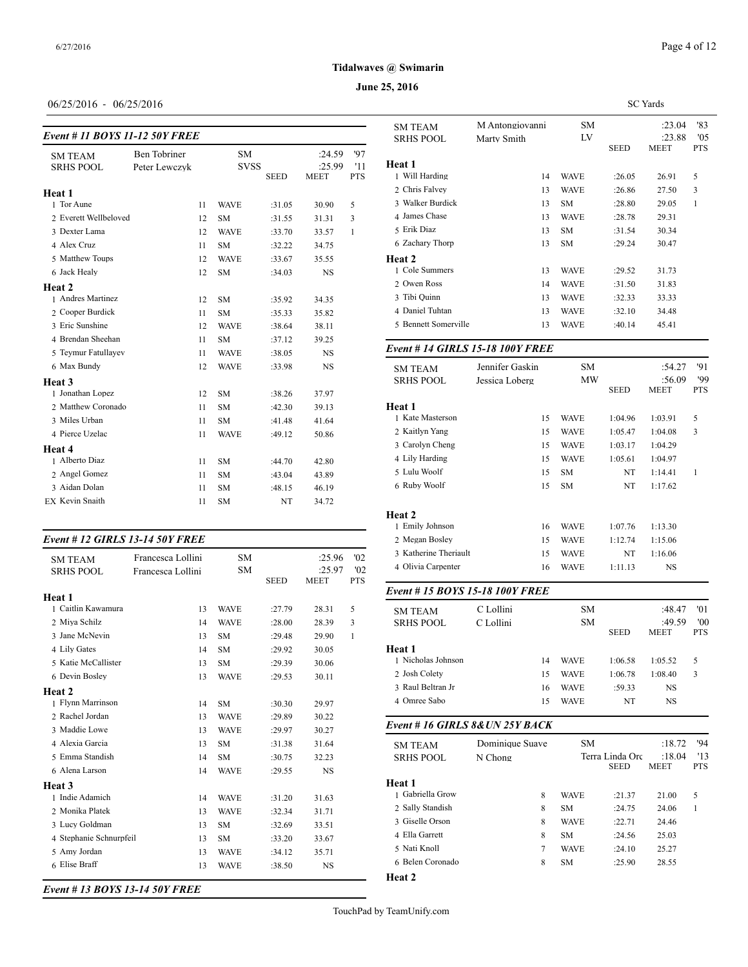#### **June 25, 2016**

# 06/25/2016 - 06/25/2016

| Event # 11 BOYS 11-12 50Y FREE     |                                      | <b>SRHS POOL</b> |                          |             |                                 |                         |                          |
|------------------------------------|--------------------------------------|------------------|--------------------------|-------------|---------------------------------|-------------------------|--------------------------|
| <b>SM TEAM</b><br><b>SRHS POOL</b> | <b>Ben</b> Tobriner<br>Peter Lewczyk |                  | <b>SM</b><br><b>SVSS</b> | <b>SEED</b> | :24.59<br>:25.99<br><b>MEET</b> | 97<br>'11<br><b>PTS</b> | Heat 1<br>1 Will Harding |
| Heat 1                             |                                      |                  |                          |             |                                 |                         | 2 Chris Falvey           |
| 1 Tor Aune                         |                                      | 11               | <b>WAVE</b>              | :31.05      | 30.90                           | 5                       | 3 Walker Burdick         |
| 2 Everett Wellbeloved              |                                      | 12               | <b>SM</b>                | :31.55      | 31.31                           | 3                       | 4 James Chase            |
| 3 Dexter Lama                      |                                      | 12               | <b>WAVE</b>              | :33.70      | 33.57                           | 1                       | 5 Erik Diaz              |
| 4 Alex Cruz                        |                                      | 11               | <b>SM</b>                | :32.22      | 34.75                           |                         | 6 Zachary Thorp          |
| 5 Matthew Toups                    |                                      | 12               | <b>WAVE</b>              | :33.67      | 35.55                           |                         | Heat 2                   |
| 6 Jack Healy                       |                                      | 12               | <b>SM</b>                | :34.03      | <b>NS</b>                       |                         | 1 Cole Summers           |
| Heat <sub>2</sub>                  |                                      |                  |                          |             |                                 |                         | 2 Owen Ross              |
| 1 Andres Martinez                  |                                      | 12               | <b>SM</b>                | :35.92      | 34.35                           |                         | 3 Tibi Quinn             |
| 2 Cooper Burdick                   |                                      | 11               | <b>SM</b>                | :35.33      | 35.82                           |                         | 4 Daniel Tuhtan          |
| 3 Eric Sunshine                    |                                      | 12               | <b>WAVE</b>              | :38.64      | 38.11                           |                         | 5 Bennett Somerv         |
| 4 Brendan Sheehan                  |                                      | 11               | <b>SM</b>                | :37.12      | 39.25                           |                         |                          |
| 5 Teymur Fatullayev                |                                      | 11               | <b>WAVE</b>              | :38.05      | <b>NS</b>                       |                         | Event # 14 GIRI          |
| 6 Max Bundy                        |                                      | 12               | <b>WAVE</b>              | :33.98      | <b>NS</b>                       |                         | <b>SM TEAM</b>           |
| Heat 3                             |                                      |                  |                          |             |                                 |                         | <b>SRHS POOL</b>         |
| 1 Jonathan Lopez                   |                                      | 12               | <b>SM</b>                | :38.26      | 37.97                           |                         |                          |
| 2 Matthew Coronado                 |                                      | 11               | <b>SM</b>                | :42.30      | 39.13                           |                         | Heat 1                   |
| 3 Miles Urban                      |                                      | 11               | <b>SM</b>                | :41.48      | 41.64                           |                         | 1 Kate Masterson         |
| 4 Pierce Uzelac                    |                                      | 11               | <b>WAVE</b>              | :49.12      | 50.86                           |                         | 2 Kaitlyn Yang           |
| Heat 4                             |                                      |                  |                          |             |                                 |                         | 3 Carolyn Cheng          |
| 1 Alberto Diaz                     |                                      | 11               | <b>SM</b>                | :44.70      | 42.80                           |                         | 4 Lily Harding           |
| 2 Angel Gomez                      |                                      | 11               | <b>SM</b>                | :43.04      | 43.89                           |                         | 5 Lulu Woolf             |
| 3 Aidan Dolan                      |                                      | 11               | <b>SM</b>                | :48.15      | 46.19                           |                         | 6 Ruby Woolf             |
| <b>EX Kevin Snaith</b>             |                                      | 11               | <b>SM</b>                | NT          | 34.72                           |                         |                          |
|                                    |                                      |                  |                          |             |                                 |                         |                          |

#### *Event # 12 GIRLS 13-14 50Y FREE*

| <b>SM TEAM</b><br><b>SRHS POOL</b> | Francesca Lollini<br>Francesca Lollini | <b>SM</b><br>SM | <b>SEED</b> | :25.96<br>:25.97<br><b>MEET</b> | '02<br>'02<br><b>PTS</b> | 3 Katherine Theria<br>4 Olivia Carpenter |
|------------------------------------|----------------------------------------|-----------------|-------------|---------------------------------|--------------------------|------------------------------------------|
| <b>Heat 1</b>                      |                                        |                 |             |                                 |                          | Event # $15 BOY$                         |
| 1 Caitlin Kawamura                 | 13                                     | <b>WAVE</b>     | :27.79      | 28.31                           | 5                        | <b>SM TEAM</b>                           |
| 2 Miya Schilz                      | 14                                     | <b>WAVE</b>     | :28.00      | 28.39                           | 3                        | <b>SRHS POOL</b>                         |
| 3 Jane McNevin                     | 13                                     | <b>SM</b>       | :29.48      | 29.90                           | 1                        |                                          |
| 4 Lily Gates                       | 14                                     | <b>SM</b>       | :29.92      | 30.05                           |                          | Heat 1                                   |
| 5 Katie McCallister                | 13                                     | <b>SM</b>       | :29.39      | 30.06                           |                          | 1 Nicholas Johnso                        |
| 6 Devin Bosley                     | 13                                     | <b>WAVE</b>     | :29.53      | 30.11                           |                          | 2 Josh Colety                            |
| Heat 2                             |                                        |                 |             |                                 |                          | 3 Raul Beltran Jr                        |
| 1 Flynn Marrinson                  | 14                                     | <b>SM</b>       | :30.30      | 29.97                           |                          | 4 Omree Sabo                             |
| 2 Rachel Jordan                    | 13                                     | <b>WAVE</b>     | :29.89      | 30.22                           |                          |                                          |
| 3 Maddie Lowe                      | 13                                     | <b>WAVE</b>     | :29.97      | 30.27                           |                          | Event # 16 GIRI                          |
| 4 Alexia Garcia                    | 13                                     | <b>SM</b>       | :31.38      | 31.64                           |                          | <b>SM TEAM</b>                           |
| 5 Emma Standish                    | 14                                     | <b>SM</b>       | :30.75      | 32.23                           |                          | <b>SRHS POOL</b>                         |
| 6 Alena Larson                     | 14                                     | <b>WAVE</b>     | :29.55      | <b>NS</b>                       |                          |                                          |
| Heat 3                             |                                        |                 |             |                                 |                          | Heat 1                                   |
| 1 Indie Adamich                    | 14                                     | <b>WAVE</b>     | :31.20      | 31.63                           |                          | 1 Gabriella Grow                         |
| 2 Monika Platek                    | 13                                     | <b>WAVE</b>     | :32.34      | 31.71                           |                          | 2 Sally Standish                         |
| 3 Lucy Goldman                     | 13                                     | <b>SM</b>       | :32.69      | 33.51                           |                          | 3 Giselle Orson                          |
| 4 Stephanie Schnurpfeil            | 13                                     | <b>SM</b>       | :33.20      | 33.67                           |                          | 4 Ella Garrett                           |
| 5 Amy Jordan                       | 13                                     | <b>WAVE</b>     | :34.12      | 35.71                           |                          | 5 Nati Knoll                             |
| 6 Elise Braff                      | 13                                     | <b>WAVE</b>     | :38.50      | <b>NS</b>                       |                          | 6 Belen Coronado                         |
|                                    |                                        |                 |             |                                 |                          | Heat 2                                   |

*Event # 13 BOYS 13-14 50Y FREE*

|                                    |                                |             | <b>SC</b> Yards |                       |                      |  |  |  |
|------------------------------------|--------------------------------|-------------|-----------------|-----------------------|----------------------|--|--|--|
| <b>SM TEAM</b><br><b>SRHS POOL</b> | M Antongiovanni<br>Marty Smith | LV          | SМ              |                       | '83<br>:23.04<br>'05 |  |  |  |
|                                    |                                |             | <b>SEED</b>     | :23.88<br><b>MEET</b> | <b>PTS</b>           |  |  |  |
| Heat 1                             |                                |             |                 |                       |                      |  |  |  |
| 1 Will Harding                     | 14                             | <b>WAVE</b> | :26.05          | 26.91                 | 5                    |  |  |  |
| 2 Chris Falvey                     | 13                             | <b>WAVE</b> | :26.86          | 27.50                 | 3                    |  |  |  |
| 3 Walker Burdick                   | 13                             | <b>SM</b>   | :28.80          | 29.05                 | $\mathbf{1}$         |  |  |  |
| 4 James Chase                      | 13                             | <b>WAVE</b> | :28.78          | 29.31                 |                      |  |  |  |
| 5 Erik Diaz                        | 13                             | <b>SM</b>   | :31.54          | 30.34                 |                      |  |  |  |
| 6 Zachary Thorp                    | 13                             | <b>SM</b>   | :29.24          | 30.47                 |                      |  |  |  |
| Heat 2                             |                                |             |                 |                       |                      |  |  |  |
| 1 Cole Summers                     | 13                             | <b>WAVE</b> | :29.52          | 31.73                 |                      |  |  |  |
| 2 Owen Ross                        | 14                             | <b>WAVE</b> | :31.50          | 31.83                 |                      |  |  |  |
| 3 Tibi Quinn                       | 13                             | <b>WAVE</b> | :32.33          | 33.33                 |                      |  |  |  |
| 4 Daniel Tuhtan                    | 13                             | <b>WAVE</b> | :32.10          | 34.48                 |                      |  |  |  |
| 5 Bennett Somerville               | 13                             | <b>WAVE</b> | :40.14          | 45.41                 |                      |  |  |  |
|                                    |                                |             |                 |                       |                      |  |  |  |

# *Event # 14 GIRLS 15-18 100Y FREE*

| <b>SM TEAM</b>        | Jennifer Gaskin | <b>SM</b>   |             | 91<br>:54.27          |                   |  |
|-----------------------|-----------------|-------------|-------------|-----------------------|-------------------|--|
| <b>SRHS POOL</b>      | Jessica Loberg  | MW          | <b>SEED</b> | :56.09<br><b>MEET</b> | '99<br><b>PTS</b> |  |
| Heat 1                |                 |             |             |                       |                   |  |
| 1 Kate Masterson      | 15              | <b>WAVE</b> | 1:04.96     | 1:03.91               | 5                 |  |
| 2 Kaitlyn Yang        | 15              | <b>WAVE</b> | 1:05.47     | 1:04.08               | 3                 |  |
| 3 Carolyn Cheng       | 15              | <b>WAVE</b> | 1:03.17     | 1:04.29               |                   |  |
| 4 Lily Harding        | 15              | <b>WAVE</b> | 1:05.61     | 1:04.97               |                   |  |
| 5 Lulu Woolf          | 15              | SM          | NT          | 1:14.41               | 1                 |  |
| 6 Ruby Woolf          | 15              | <b>SM</b>   | NT          | 1:17.62               |                   |  |
| <b>Heat 2</b>         |                 |             |             |                       |                   |  |
| 1 Emily Johnson       | 16              | <b>WAVE</b> | 1:07.76     | 1:13.30               |                   |  |
| 2 Megan Bosley        | 15              | <b>WAVE</b> | 1:12.74     | 1:15.06               |                   |  |
| 3 Katherine Theriault | 15              | <b>WAVE</b> | NT          | 1:16.06               |                   |  |
| 4 Olivia Carpenter    | 16              | <b>WAVE</b> | 1:11.13     | <b>NS</b>             |                   |  |
|                       |                 |             |             |                       |                   |  |

# *Event # 15 BOYS 15-18 100Y FREE*

| <b>SM TEAM</b><br><b>SRHS POOL</b> | C Lollini<br>C Lollini |    | <b>SM</b><br><b>SM</b> | <b>SEED</b> | :48.47<br>:49.59<br><b>MEET</b> | '01<br>'00<br><b>PTS</b> |
|------------------------------------|------------------------|----|------------------------|-------------|---------------------------------|--------------------------|
| Heat 1                             |                        |    |                        |             |                                 |                          |
| 1 Nicholas Johnson                 |                        | 14 | <b>WAVE</b>            | 1:06.58     | 1:05.52                         | 5                        |
| 2 Josh Colety                      |                        | 15 | <b>WAVE</b>            | 1:06.78     | 1:08.40                         | 3                        |
| 3 Raul Beltran Jr                  |                        | 16 | <b>WAVE</b>            | :59.33      | NS                              |                          |
| 4 Omree Sabo                       |                        | 15 | <b>WAVE</b>            | NT          | NS                              |                          |
|                                    |                        |    |                        |             |                                 |                          |

#### *Event # 16 GIRLS 8&UN 25Y BACK*

| <b>SM TEAM</b>   | Dominique Suave | <b>SM</b>   |                                | :18.72                | '94               |
|------------------|-----------------|-------------|--------------------------------|-----------------------|-------------------|
| <b>SRHS POOL</b> | N Chong         |             | Terra Linda Orc<br><b>SEED</b> | :18.04<br><b>MEET</b> | '13<br><b>PTS</b> |
| Heat 1           |                 |             |                                |                       |                   |
| 1 Gabriella Grow | 8               | <b>WAVE</b> | :21.37                         | 21.00                 | 5                 |
| 2 Sally Standish | 8               | <b>SM</b>   | :24.75                         | 24.06                 |                   |
| 3 Giselle Orson  | 8               | <b>WAVE</b> | :22.71                         | 24.46                 |                   |
| 4 Ella Garrett   | 8               | <b>SM</b>   | :24.56                         | 25.03                 |                   |
| 5 Nati Knoll     | 7               | <b>WAVE</b> | :24.10                         | 25.27                 |                   |
| 6 Belen Coronado | 8               | <b>SM</b>   | :25.90                         | 28.55                 |                   |
| Heat 2           |                 |             |                                |                       |                   |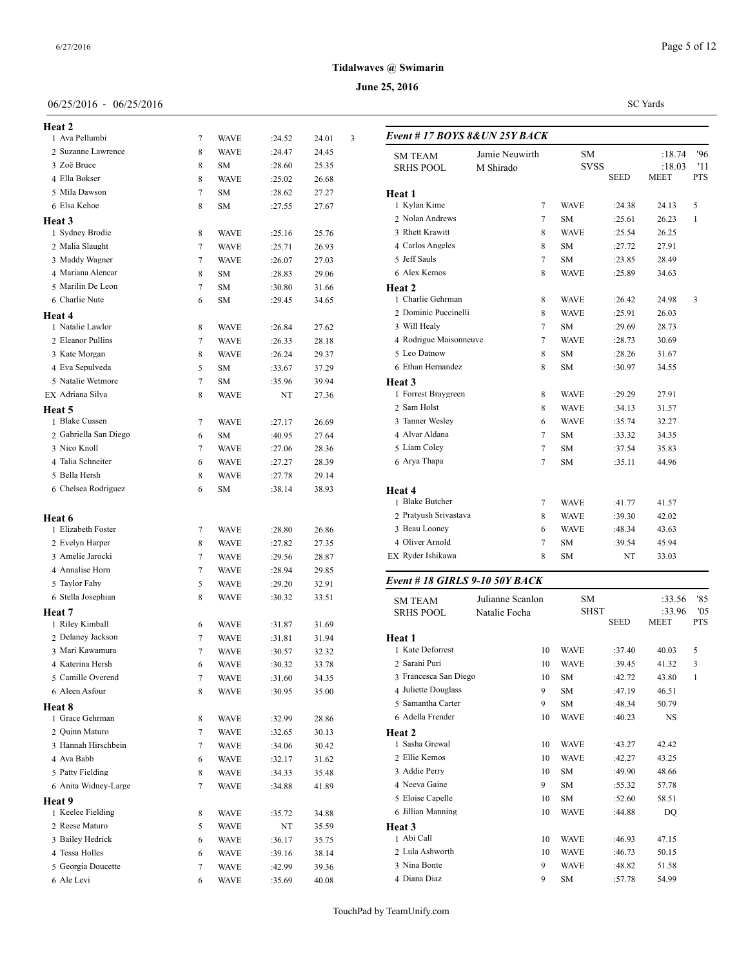# 06/25/2016 - 06/25/2016

| <b>Heat 2</b>                     |        |                   |                  |                |   |                           |
|-----------------------------------|--------|-------------------|------------------|----------------|---|---------------------------|
| 1 Ava Pellumbi                    | 7      | <b>WAVE</b>       | :24.52           | 24.01          | 3 | Event #17                 |
| 2 Suzanne Lawrence                | 8      | <b>WAVE</b>       | :24.47           | 24.45          |   | <b>SM TEAM</b>            |
| 3 Zoë Bruce                       | 8      | <b>SM</b>         | :28.60           | 25.35          |   | <b>SRHS POO</b>           |
| 4 Ella Bokser                     | 8      | <b>WAVE</b>       | :25.02           | 26.68          |   |                           |
| 5 Mila Dawson                     | 7      | SM                | :28.62           | 27.27          |   | Heat 1                    |
| 6 Elsa Kehoe                      | 8      | SΜ                | :27.55           | 27.67          |   | 1 Kylan Kii               |
| <b>Heat 3</b>                     |        |                   |                  |                |   | 2 Nolan An<br>3 Rhett Kra |
| 1 Sydney Brodie                   | 8      | <b>WAVE</b>       | :25.16           | 25.76          |   | 4 Carlos An               |
| 2 Malia Slaught<br>3 Maddy Wagner | 7<br>7 | <b>WAVE</b>       | :25.71           | 26.93          |   | 5 Jeff Sauls              |
| 4 Mariana Alencar                 | 8      | <b>WAVE</b><br>SM | :26.07           | 27.03          |   | 6 Alex Ken                |
| 5 Marilin De Leon                 | 7      | <b>SM</b>         | :28.83           | 29.06          |   |                           |
| 6 Charlie Nute                    | 6      | SΜ                | :30.80<br>:29.45 | 31.66<br>34.65 |   | Heat 2<br>1 Charlie G     |
| Heat 4                            |        |                   |                  |                |   | 2 Dominic                 |
| 1 Natalie Lawlor                  | 8      | <b>WAVE</b>       | :26.84           | 27.62          |   | 3 Will Heal               |
| 2 Eleanor Pullins                 | 7      | <b>WAVE</b>       | :26.33           | 28.18          |   | 4 Rodrigue                |
| 3 Kate Morgan                     | 8      | <b>WAVE</b>       | :26.24           | 29.37          |   | 5 Leo Datno               |
| 4 Eva Sepulveda                   | 5      | <b>SM</b>         | :33.67           | 37.29          |   | 6 Ethan Her               |
| 5 Natalie Wetmore                 | 7      | SΜ                | :35.96           | 39.94          |   | Heat 3                    |
| EX Adriana Silva                  | 8      | <b>WAVE</b>       | NT               | 27.36          |   | 1 Forrest Bi              |
| Heat 5                            |        |                   |                  |                |   | 2 Sam Hols                |
| 1 Blake Cussen                    | 7      | <b>WAVE</b>       | :27.17           | 26.69          |   | 3 Tanner W                |
| 2 Gabriella San Diego             | 6      | SM                | :40.95           | 27.64          |   | 4 Alvar Ald               |
| 3 Nico Knoll                      | 7      | <b>WAVE</b>       | :27.06           | 28.36          |   | 5 Liam Col                |
| 4 Talia Schneiter                 | 6      | <b>WAVE</b>       | :27.27           | 28.39          |   | 6 Arya Tha                |
| 5 Bella Hersh                     | 8      | <b>WAVE</b>       | :27.78           | 29.14          |   |                           |
| 6 Chelsea Rodriguez               | 6      | <b>SM</b>         | :38.14           | 38.93          |   | <b>Heat 4</b>             |
|                                   |        |                   |                  |                |   | 1 Blake But               |
| Heat 6                            |        |                   |                  |                |   | 2 Pratyush:               |
| 1 Elizabeth Foster                | 7      | <b>WAVE</b>       | :28.80           | 26.86          |   | 3 Beau Loo                |
| 2 Evelyn Harper                   | 8      | <b>WAVE</b>       | :27.82           | 27.35          |   | 4 Oliver Ar               |
| 3 Amelie Jarocki                  | 7      | <b>WAVE</b>       | :29.56           | 28.87          |   | EX Ryder Ish              |
| 4 Annalise Horn                   | 7      | <b>WAVE</b>       | :28.94           | 29.85          |   |                           |
| 5 Taylor Fahy                     | 5      | <b>WAVE</b>       | :29.20           | 32.91          |   | Event #18                 |
| 6 Stella Josephian                | 8      | WAVE              | :30.32           | 33.51          |   | SM TEAM                   |
| Heat 7                            |        |                   |                  |                |   | SRHS POO                  |
| 1 Riley Kimball                   | 6      | <b>WAVE</b>       | :31.87           | 31.69          |   |                           |
| 2 Delaney Jackson                 | 7      | <b>WAVE</b>       | :31.81           | 31.94          |   | Heat 1                    |
| 3 Mari Kawamura                   | 7      | <b>WAVE</b>       | :30.57           | 32.32          |   | 1 Kate Defo               |
| 4 Katerina Hersh                  | 6      | <b>WAVE</b>       | :30.32           | 33.78          |   | 2 Sarani Pu               |
| 5 Camille Overend                 | 7      | WAVE              | :31.60           | 34.35          |   | 3 Francesca               |
| 6 Aleen Asfour                    | 8      | <b>WAVE</b>       | :30.95           | 35.00          |   | 4 Juliette D              |
| <b>Heat 8</b>                     |        |                   |                  |                |   | 5 Samantha                |
| 1 Grace Gehrman                   | 8      | WAVE              | :32.99           | 28.86          |   | 6 Adella Fr               |
| 2 Quinn Maturo                    | 7      | <b>WAVE</b>       | :32.65           | 30.13          |   | Heat 2                    |
| 3 Hannah Hirschbein               | 7      | WAVE              | :34.06           | 30.42          |   | 1 Sasha Gre               |
| 4 Ava Babb                        | 6      | WAVE              | :32.17           | 31.62          |   | 2 Ellie Ken               |
| 5 Patty Fielding                  | 8      | WAVE              | :34.33           | 35.48          |   | 3 Addie Per               |
| 6 Anita Widney-Large              | 7      | WAVE              | :34.88           | 41.89          |   | 4 Neeva Ga                |
| Heat 9                            |        |                   |                  |                |   | 5 Eloise Ca               |
| 1 Keelee Fielding                 | 8      | WAVE              | :35.72           | 34.88          |   | 6 Jillian Ma              |
| 2 Reese Maturo                    | 5      | WAVE              | NT               | 35.59          |   | Heat 3                    |
| 3 Bailey Hedrick                  | 6      | WAVE              | :36.17           | 35.75          |   | 1 Abi Call                |
| 4 Tessa Holles                    | 6      | WAVE              | :39.16           | 38.14          |   | 2 Lula Ashy               |
| 5 Georgia Doucette                | 7      | WAVE              | :42.99           | 39.36          |   | 3 Nina Bon                |
| 6 Ale Levi                        | 6      | <b>WAVE</b>       | :35.69           | 40.08          |   | 4 Diana Dia               |

# **Tidalwaves @ Swimarin**

# **June 25, 2016**

SC Yards

| <b>SM TEAM</b>                 | Jamie Neuwirth   |                | SM          |             | :18.74         | '96               |
|--------------------------------|------------------|----------------|-------------|-------------|----------------|-------------------|
| <b>SRHS POOL</b>               | M Shirado        |                | <b>SVSS</b> | <b>SEED</b> | :18.03<br>MEET | '11<br><b>PTS</b> |
| Heat 1                         |                  |                |             |             |                |                   |
| 1 Kylan Kime                   |                  | 7              | WAVE        | :24.38      | 24.13          | 5                 |
| 2 Nolan Andrews                |                  | 7              | SM          | :25.61      | 26.23          | 1                 |
| 3 Rhett Krawitt                |                  | 8              | WAVE        | :25.54      | 26.25          |                   |
| 4 Carlos Angeles               |                  | 8              | <b>SM</b>   | :27.72      | 27.91          |                   |
| 5 Jeff Sauls                   |                  | 7              | <b>SM</b>   | :23.85      | 28.49          |                   |
| 6 Alex Kemos                   |                  | 8              | WAVE        | :25.89      | 34.63          |                   |
| Heat 2                         |                  |                |             |             |                |                   |
| 1 Charlie Gehrman              |                  | 8              | WAVE        | :26.42      | 24.98          | 3                 |
| 2 Dominic Puccinelli           |                  | 8              | WAVE        | :25.91      | 26.03          |                   |
| 3 Will Healy                   |                  | 7              | <b>SM</b>   | :29.69      | 28.73          |                   |
| 4 Rodrigue Maisonneuve         |                  | 7              | <b>WAVE</b> | :28.73      | 30.69          |                   |
| 5 Leo Datnow                   |                  | 8              | <b>SM</b>   | :28.26      | 31.67          |                   |
| 6 Ethan Hernandez              |                  | 8              | SM          | :30.97      | 34.55          |                   |
| Heat 3                         |                  |                |             |             |                |                   |
| 1 Forrest Braygreen            |                  | 8              | WAVE        | :29.29      | 27.91          |                   |
| 2 Sam Holst                    |                  | 8              | WAVE        | :34.13      | 31.57          |                   |
| 3 Tanner Wesley                |                  | 6              | WAVE        | :35.74      | 32.27          |                   |
| 4 Alvar Aldana                 |                  | 7              | <b>SM</b>   | :33.32      | 34.35          |                   |
| 5 Liam Coley                   |                  | $\overline{7}$ | SM          | :37.54      | 35.83          |                   |
| 6 Arya Thapa                   |                  | 7              | SM          | :35.11      | 44.96          |                   |
| Heat 4                         |                  |                |             |             |                |                   |
| 1 Blake Butcher                |                  | 7              | WAVE        | :41.77      | 41.57          |                   |
| 2 Pratyush Srivastava          |                  | 8              | <b>WAVE</b> | :39.30      | 42.02          |                   |
| 3 Beau Looney                  |                  | 6              | WAVE        | :48.34      | 43.63          |                   |
| 4 Oliver Arnold                |                  | 7              | <b>SM</b>   | :39.54      | 45.94          |                   |
| EX Ryder Ishikawa              |                  | 8              | SM          | NT          | 33.03          |                   |
| Event # 18 GIRLS 9-10 50Y BACK |                  |                |             |             |                |                   |
| <b>SM TEAM</b>                 | Julianne Scanlon |                | SΜ          |             | :33.56         | '85               |
| <b>SRHS POOL</b>               | Natalie Focha    |                | <b>SHST</b> |             | :33.96         | '05               |
|                                |                  |                |             | <b>SEED</b> | MEET           | <b>PTS</b>        |
| Heat 1                         |                  |                |             |             |                |                   |
| 1 Kate Deforrest               |                  | 10             | <b>WAVE</b> | :37.40      | 40.03          | 5                 |
| 2 Sarani Puri                  |                  | 10             | <b>WAVE</b> | :39.45      | 41.32          | 3                 |
| 3 Francesca San Diego          |                  | 10             | SM          | :42.72      | 43.80          | $\mathbf{1}$      |
| 4 Juliette Douglass            |                  | 9              | SM          | :47.19      | 46.51          |                   |
| 5 Samantha Carter              |                  | 9              | SΜ          | :48.34      | 50.79          |                   |
| 6 Adella Frender               |                  | 10             | WAVE        | :40.23      | NS             |                   |
| Heat 2                         |                  |                |             |             |                |                   |
| 1 Sasha Grewal                 |                  | 10             | WAVE        | :43.27      | 42.42          |                   |
| 2 Ellie Kemos                  |                  | 10             | WAVE        | :42.27      | 43.25          |                   |
| 3 Addie Perry                  |                  | 10             | SM          | :49.90      | 48.66          |                   |
| 4 Neeva Gaine                  |                  | 9              | SM          | :55.32      | 57.78          |                   |
| 5 Eloise Capelle               |                  | 10             | SM          | :52.60      | 58.51          |                   |
| 6 Jillian Manning              |                  | 10             | <b>WAVE</b> | :44.88      | DQ             |                   |
| Heat 3                         |                  |                |             |             |                |                   |
| 1 Abi Call                     |                  | 10             | <b>WAVE</b> | :46.93      | 47.15          |                   |
| 2 Lula Ashworth                |                  | 10             | <b>WAVE</b> | :46.73      | 50.15          |                   |
| 3 Nina Bonte                   |                  | 9              | WAVE        | :48.82      | 51.58          |                   |
| 4 Diana Diaz                   |                  | 9              | SM          | :57.78      | 54.99          |                   |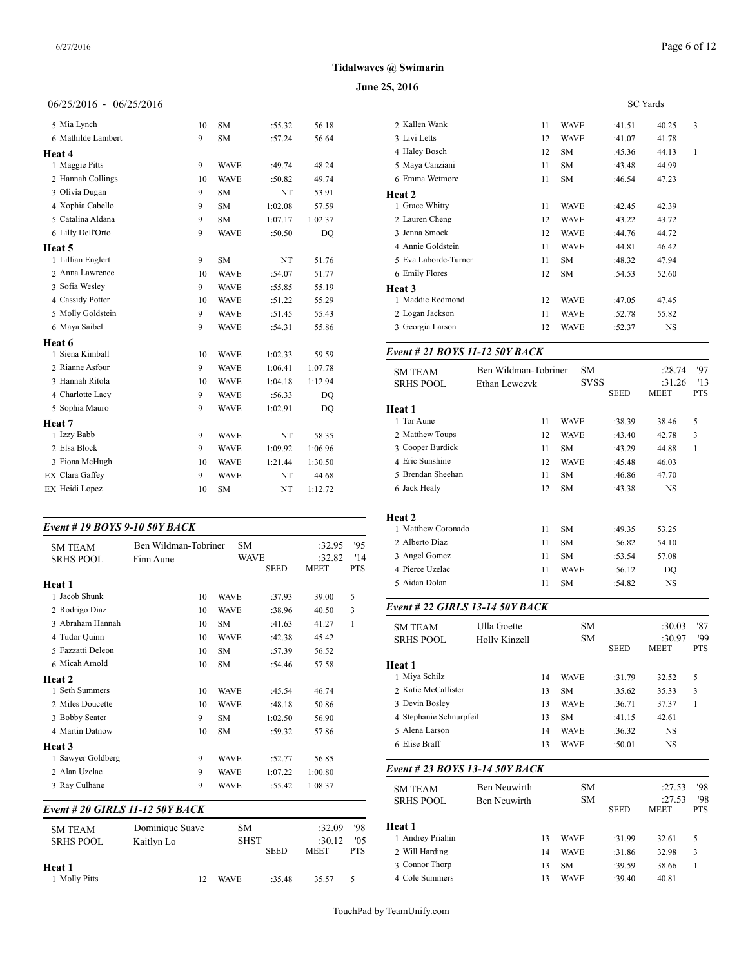#### **June 25, 2016**

# 06/25/2016 - 06/25/2016

| 5 Mia Lynch            | 10 | <b>SM</b>   | :55.32  | 56.18   | 2 Kallen Wank        |
|------------------------|----|-------------|---------|---------|----------------------|
| 6 Mathilde Lambert     | 9  | <b>SM</b>   | :57.24  | 56.64   | 3 Livi Letts         |
| Heat 4                 |    |             |         |         | 4 Haley Bosch        |
| 1 Maggie Pitts         | 9  | <b>WAVE</b> | :49.74  | 48.24   | 5 Maya Canzian       |
| 2 Hannah Collings      | 10 | <b>WAVE</b> | :50.82  | 49.74   | 6 Emma Wetmo         |
| 3 Olivia Dugan         | 9  | <b>SM</b>   | NT      | 53.91   | Heat 2               |
| 4 Xophia Cabello       | 9  | <b>SM</b>   | 1:02.08 | 57.59   | 1 Grace Whitty       |
| 5 Catalina Aldana      | 9  | <b>SM</b>   | 1:07.17 | 1:02.37 | 2 Lauren Cheng       |
| 6 Lilly Dell'Orto      | 9  | <b>WAVE</b> | :50.50  | DO      | 3 Jenna Smock        |
| Heat 5                 |    |             |         |         | 4 Annie Goldste      |
| 1 Lillian Englert      | 9  | <b>SM</b>   | NT      | 51.76   | 5 Eva Laborde-7      |
| 2 Anna Lawrence        | 10 | <b>WAVE</b> | :54.07  | 51.77   | 6 Emily Flores       |
| 3 Sofia Wesley         | 9  | <b>WAVE</b> | :55.85  | 55.19   | Heat 3               |
| 4 Cassidy Potter       | 10 | <b>WAVE</b> | :51.22  | 55.29   | 1 Maddie Redm        |
| 5 Molly Goldstein      | 9  | <b>WAVE</b> | :51.45  | 55.43   | 2 Logan Jackson      |
| 6 Maya Saibel          | 9  | <b>WAVE</b> | :54.31  | 55.86   | 3 Georgia Larso      |
| Heat 6                 |    |             |         |         |                      |
| 1 Siena Kimball        | 10 | <b>WAVE</b> | 1:02.33 | 59.59   | Event # 21 <b>BO</b> |
| 2 Rianne Asfour        | 9  | <b>WAVE</b> | 1:06.41 | 1:07.78 | <b>SM TEAM</b>       |
| 3 Hannah Ritola        | 10 | <b>WAVE</b> | 1:04.18 | 1:12.94 | <b>SRHS POOL</b>     |
| 4 Charlotte Lacy       | 9  | <b>WAVE</b> | :56.33  | DO      |                      |
| 5 Sophia Mauro         | 9  | <b>WAVE</b> | 1:02.91 | DO      | Heat 1               |
| Heat 7                 |    |             |         |         | 1 Tor Aune           |
| 1 Izzy Babb            | 9  | <b>WAVE</b> | NT      | 58.35   | 2 Matthew Toup       |
| 2 Elsa Block           | 9  | <b>WAVE</b> | 1:09.92 | 1:06.96 | 3 Cooper Burdio      |
| 3 Fiona McHugh         | 10 | <b>WAVE</b> | 1:21.44 | 1:30.50 | 4 Eric Sunshine      |
| <b>EX Clara Gaffey</b> | 9  | <b>WAVE</b> | NT      | 44.68   | 5 Brendan Sheel      |
| EX Heidi Lopez         | 10 | <b>SM</b>   | NT      | 1:12.72 | 6 Jack Healy         |
|                        |    |             |         |         |                      |

# *Event # 19 BOYS 9-10 50Y BACK*

| <b>SM TEAM</b>    | Ben Wildman-Tobriner | <b>SM</b>   |             | :32.95      | '95        | 2 Alberto Diaz                  |               | 11 | <b>SM</b>   | :56.82      | 54.10       |
|-------------------|----------------------|-------------|-------------|-------------|------------|---------------------------------|---------------|----|-------------|-------------|-------------|
| <b>SRHS POOL</b>  | Finn Aune            | <b>WAVE</b> |             | :32.82      | '14        | 3 Angel Gomez                   |               | 11 | <b>SM</b>   | :53.54      | 57.08       |
|                   |                      |             | <b>SEED</b> | <b>MEET</b> | <b>PTS</b> | 4 Pierce Uzelac                 |               | 11 | <b>WAVE</b> | :56.12      | DQ          |
| Heat 1            |                      |             |             |             |            | 5 Aidan Dolan                   |               | 11 | <b>SM</b>   | :54.82      | <b>NS</b>   |
| 1 Jacob Shunk     | 10                   | <b>WAVE</b> | :37.93      | 39.00       | 5          |                                 |               |    |             |             |             |
| 2 Rodrigo Diaz    | 10                   | <b>WAVE</b> | :38.96      | 40.50       | 3          | Event # 22 GIRLS 13-14 50Y BACK |               |    |             |             |             |
| 3 Abraham Hannah  | 10                   | <b>SM</b>   | :41.63      | 41.27       | 1          | <b>SM TEAM</b>                  | Ulla Goette   |    | <b>SM</b>   |             | :30.03      |
| 4 Tudor Quinn     | 10                   | <b>WAVE</b> | :42.38      | 45.42       |            | <b>SRHS POOL</b>                | Holly Kinzell |    | <b>SM</b>   |             | :30.97      |
| 5 Fazzatti Deleon | 10                   | <b>SM</b>   | :57.39      | 56.52       |            |                                 |               |    |             | <b>SEED</b> | <b>MEET</b> |
| 6 Micah Arnold    | 10                   | <b>SM</b>   | :54.46      | 57.58       |            | Heat 1                          |               |    |             |             |             |
| Heat 2            |                      |             |             |             |            | 1 Miya Schilz                   |               | 14 | <b>WAVE</b> | :31.79      | 32.52       |
| 1 Seth Summers    | 10                   | <b>WAVE</b> | :45.54      | 46.74       |            | 2 Katie McCallister             |               | 13 | <b>SM</b>   | :35.62      | 35.33       |
| 2 Miles Doucette  | 10                   | <b>WAVE</b> | :48.18      | 50.86       |            | 3 Devin Bosley                  |               | 13 | <b>WAVE</b> | :36.71      | 37.37       |
| 3 Bobby Seater    | 9                    | <b>SM</b>   | 1:02.50     | 56.90       |            | 4 Stephanie Schnurpfeil         |               | 13 | <b>SM</b>   | :41.15      | 42.61       |
| 4 Martin Datnow   | 10                   | <b>SM</b>   | :59.32      | 57.86       |            | 5 Alena Larson                  |               | 14 | <b>WAVE</b> | :36.32      | <b>NS</b>   |
| Heat 3            |                      |             |             |             |            | 6 Elise Braff                   |               | 13 | <b>WAVE</b> | :50.01      | <b>NS</b>   |
| 1 Sawyer Goldberg | 9                    | <b>WAVE</b> | :52.77      | 56.85       |            |                                 |               |    |             |             |             |
| 2 Alan Uzelac     | 9                    | <b>WAVE</b> | 1:07.22     | 1:00.80     |            | Event # 23 BOYS 13-14 50Y BACK  |               |    |             |             |             |
| 3 Ray Culhane     | 9                    | WAVE        | :55.42      | 1:08.37     |            | <b>SM TEAM</b>                  | Ben Neuwirth  |    | <b>SM</b>   |             | :27.53      |
|                   |                      |             |             |             |            |                                 |               |    |             |             |             |

#### *Event # 20 GIRLS 11-12 50Y BACK*

| <b>SM TEAM</b><br><b>SRHS POOL</b> | Dominique Suave<br>Kaitlyn Lo | <b>SM</b><br><b>SHST</b> | <b>SEED</b> | :32.09<br>:30.12<br><b>MEET</b> | '98<br>'0.5<br><b>PTS</b> | <b>Heat 1</b><br>1 Andrey Priahin<br>2 Will Harding |
|------------------------------------|-------------------------------|--------------------------|-------------|---------------------------------|---------------------------|-----------------------------------------------------|
| Heat 1<br><b>Molly Pitts</b>       |                               | <b>WAVE</b>              | :35.48      | 35.57                           | 5.                        | 3 Connor Thorp<br>4 Cole Summers                    |

|                      | SC Yards |             |        |           |   |  |  |  |
|----------------------|----------|-------------|--------|-----------|---|--|--|--|
| 2 Kallen Wank        | 11       | <b>WAVE</b> | :41.51 | 40.25     | 3 |  |  |  |
| 3 Livi Letts         | 12       | <b>WAVE</b> | :41.07 | 41.78     |   |  |  |  |
| 4 Haley Bosch        | 12       | <b>SM</b>   | :45.36 | 44.13     | 1 |  |  |  |
| 5 Maya Canziani      | 11       | <b>SM</b>   | :43.48 | 44.99     |   |  |  |  |
| 6 Emma Wetmore       | 11       | <b>SM</b>   | :46.54 | 47.23     |   |  |  |  |
| Heat 2               |          |             |        |           |   |  |  |  |
| 1 Grace Whitty       | 11       | <b>WAVE</b> | :42.45 | 42.39     |   |  |  |  |
| 2 Lauren Cheng       | 12       | <b>WAVE</b> | :43.22 | 43.72     |   |  |  |  |
| 3 Jenna Smock        | 12       | <b>WAVE</b> | :44.76 | 44.72     |   |  |  |  |
| 4 Annie Goldstein    | 11       | <b>WAVE</b> | :44.81 | 46.42     |   |  |  |  |
| 5 Eva Laborde-Turner | 11       | <b>SM</b>   | :48.32 | 47.94     |   |  |  |  |
| 6 Emily Flores       | 12       | <b>SM</b>   | :54.53 | 52.60     |   |  |  |  |
| Heat 3               |          |             |        |           |   |  |  |  |
| 1 Maddie Redmond     | 12       | <b>WAVE</b> | :47.05 | 47.45     |   |  |  |  |
| 2 Logan Jackson      | 11       | <b>WAVE</b> | :52.78 | 55.82     |   |  |  |  |
| 3 Georgia Larson     | 12       | <b>WAVE</b> | :52.37 | <b>NS</b> |   |  |  |  |
|                      |          |             |        |           |   |  |  |  |

# *Event # 21 BOYS 11-12 50Y BACK*

| <b>SM TEAM</b>     | Ben Wildman-Tobriner |    | <b>SM</b>   |        | :28.74 | '97          |
|--------------------|----------------------|----|-------------|--------|--------|--------------|
| <b>SRHS POOL</b>   | Ethan Lewczyk        |    | <b>SVSS</b> |        | :31.26 | '13          |
|                    |                      |    |             | SEED   | MEET   | <b>PTS</b>   |
| Heat 1             |                      |    |             |        |        |              |
| 1 Tor Aune         |                      | 11 | <b>WAVE</b> | :38.39 | 38.46  | 5            |
| 2 Matthew Toups    |                      | 12 | <b>WAVE</b> | :43.40 | 42.78  | 3            |
| 3 Cooper Burdick   |                      | 11 | <b>SM</b>   | :43.29 | 44.88  | $\mathbf{1}$ |
| 4 Eric Sunshine    |                      | 12 | <b>WAVE</b> | :45.48 | 46.03  |              |
| 5 Brendan Sheehan  |                      | 11 | SM          | :46.86 | 47.70  |              |
| 6 Jack Healy       |                      | 12 | <b>SM</b>   | :43.38 | NS     |              |
|                    |                      |    |             |        |        |              |
| <b>Heat 2</b>      |                      |    |             |        |        |              |
| 1 Matthew Coronado |                      | 11 | <b>SM</b>   | :49.35 | 53.25  |              |
| 2 Alberto Diaz     |                      | 11 | SM          | :56.82 | 54.10  |              |
| 3 Angel Gomez      |                      | 11 | <b>SM</b>   | :53.54 | 57.08  |              |
| 4 Pierce Uzelac    |                      | 11 | <b>WAVE</b> | :56.12 | DQ     |              |
| 5 Aidan Dolan      |                      | 11 | <b>SM</b>   | :54.82 | NS     |              |
|                    |                      |    |             |        |        |              |

| <b>SM TEAM</b>                 | Ulla Goette   |    | SM          |             | :30.03                | '87               |
|--------------------------------|---------------|----|-------------|-------------|-----------------------|-------------------|
| <b>SRHS POOL</b>               | Holly Kinzell |    | <b>SM</b>   | <b>SEED</b> | :30.97<br><b>MEET</b> | '99<br><b>PTS</b> |
| Heat 1                         |               |    |             |             |                       |                   |
| 1 Miya Schilz                  |               | 14 | <b>WAVE</b> | :31.79      | 32.52                 | 5                 |
| 2 Katie McCallister            |               | 13 | <b>SM</b>   | :35.62      | 35.33                 | 3                 |
| 3 Devin Bosley                 |               | 13 | <b>WAVE</b> | :36.71      | 37.37                 | 1                 |
| 4 Stephanie Schnurpfeil        |               | 13 | <b>SM</b>   | :41.15      | 42.61                 |                   |
| 5 Alena Larson                 |               | 14 | <b>WAVE</b> | :36.32      | <b>NS</b>             |                   |
| 6 Elise Braff                  |               | 13 | <b>WAVE</b> | :50.01      | NS                    |                   |
| Event # 23 BOYS 13-14 50Y BACK |               |    |             |             |                       |                   |
| <b>SM TEAM</b>                 | Ben Neuwirth  |    | <b>SM</b>   |             | :27.53                | '98               |
| <b>SRHS POOL</b>               | Ben Neuwirth  |    | SM          | <b>SEED</b> | :27.53<br><b>MEET</b> | '98<br><b>PTS</b> |
| Heat 1                         |               |    |             |             |                       |                   |
| 1 Andrey Priahin               |               | 13 | <b>WAVE</b> | :31.99      | 32.61                 | 5                 |
| 2 Will Harding                 |               | 14 | <b>WAVE</b> | :31.86      | 32.98                 | 3                 |
| 3 Connor Thorp                 |               | 13 | <b>SM</b>   | :39.59      | 38.66                 | 1                 |
| 4 Cole Summers                 |               | 13 | <b>WAVE</b> | :39.40      | 40.81                 |                   |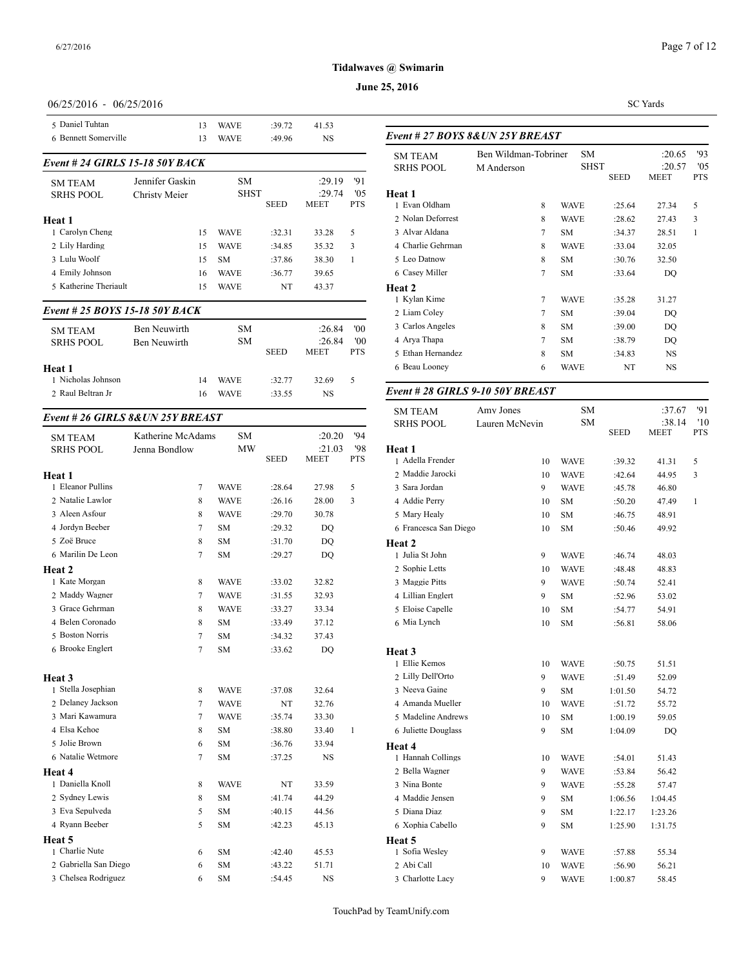# **June 25, 2016**

# 06/25/2016 - 06/25/2016

| 5 Daniel Tuhtan                     |                   | 13     | <b>WAVE</b> | :39.72      | 41.53                 |            |                                    |
|-------------------------------------|-------------------|--------|-------------|-------------|-----------------------|------------|------------------------------------|
| 6 Bennett Somerville                |                   | 13     | <b>WAVE</b> | :49.96      | NS                    |            | Event # 27 <b>BOY</b>              |
| Event # 24 GIRLS 15-18 50Y BACK     |                   |        |             |             |                       |            | <b>SM TEAM</b><br><b>SRHS POOL</b> |
| <b>SM TEAM</b>                      | Jennifer Gaskin   |        | <b>SM</b>   |             | :29.19                | '91        |                                    |
| <b>SRHS POOL</b>                    | Christy Meier     |        | <b>SHST</b> | SEED        | :29.74<br><b>MEET</b> | '05<br>PTS | <b>Heat 1</b><br>1 Evan Oldham     |
| Heat 1                              |                   |        |             |             |                       |            | 2 Nolan Deforrest                  |
| 1 Carolyn Cheng                     |                   | 15     | WAVE        | :32.31      | 33.28                 | 5          | 3 Alvar Aldana                     |
| 2 Lily Harding                      |                   | 15     | <b>WAVE</b> | :34.85      | 35.32                 | 3          | 4 Charlie Gehrma:                  |
| 3 Lulu Woolf                        |                   | 15     | <b>SM</b>   | :37.86      | 38.30                 | 1          | 5 Leo Datnow                       |
| 4 Emily Johnson                     |                   | 16     | WAVE        | :36.77      | 39.65                 |            | 6 Casey Miller                     |
| 5 Katherine Theriault               |                   | 15     | WAVE        | NT          | 43.37                 |            | Heat 2<br>1 Kylan Kime             |
| Event # 25 BOYS 15-18 50Y BACK      |                   |        |             |             |                       |            | 2 Liam Coley                       |
| <b>SM TEAM</b>                      | Ben Neuwirth      |        | SM          |             | :26.84                | '00        | 3 Carlos Angeles                   |
| <b>SRHS POOL</b>                    | Ben Neuwirth      |        | <b>SM</b>   |             | :26.84                | 00'        | 4 Arya Thapa                       |
|                                     |                   |        |             | <b>SEED</b> | MEET                  | PTS        | 5 Ethan Hernande                   |
| Heat 1                              |                   |        |             |             |                       |            | 6 Beau Looney                      |
| 1 Nicholas Johnson                  |                   | 14     | <b>WAVE</b> | :32.77      | 32.69                 | 5          |                                    |
| 2 Raul Beltran Jr                   |                   | 16     | <b>WAVE</b> | :33.55      | NS                    |            | Event # 28 GIRI                    |
| Event # 26 GIRLS 8& UN 25Y BREAST   |                   |        |             |             |                       |            | <b>SM TEAM</b><br><b>SRHS POOL</b> |
| <b>SM TEAM</b>                      | Katherine McAdams |        | SM          |             | :20.20                | '94        |                                    |
| <b>SRHS POOL</b>                    | Jenna Bondlow     |        | MW          |             | :21.03                | '98        | Heat 1                             |
|                                     |                   |        |             | <b>SEED</b> | MEET                  | PTS        | 1 Adella Frender                   |
| Heat 1                              |                   |        |             |             |                       |            | 2 Maddie Jarocki                   |
| 1 Eleanor Pullins                   |                   | 7      | <b>WAVE</b> | :28.64      | 27.98                 | 5          | 3 Sara Jordan                      |
| 2 Natalie Lawlor                    |                   | 8      | <b>WAVE</b> | :26.16      | 28.00                 | 3          | 4 Addie Perry                      |
| 3 Aleen Asfour                      |                   | 8      | <b>WAVE</b> | :29.70      | 30.78                 |            | 5 Mary Healy                       |
| 4 Jordyn Beeber                     |                   | 7      | <b>SM</b>   | :29.32      | DQ                    |            | 6 Francesca San D                  |
| 5 Zoë Bruce                         |                   | 8      | <b>SM</b>   | :31.70      | DQ                    |            | <b>Heat 2</b>                      |
| 6 Marilin De Leon                   |                   | 7      | <b>SM</b>   | :29.27      | DQ                    |            | 1 Julia St John                    |
| Heat 2                              |                   |        |             |             |                       |            | 2 Sophie Letts                     |
| 1 Kate Morgan                       |                   | 8      | <b>WAVE</b> | :33.02      | 32.82                 |            | 3 Maggie Pitts                     |
| 2 Maddy Wagner                      |                   | 7      | <b>WAVE</b> | :31.55      | 32.93                 |            | 4 Lillian Englert                  |
| 3 Grace Gehrman<br>4 Belen Coronado |                   | 8      | <b>WAVE</b> | :33.27      | 33.34                 |            | 5 Eloise Capelle                   |
| 5 Boston Norris                     |                   | 8<br>7 | <b>SM</b>   | :33.49      | 37.12                 |            | 6 Mia Lynch                        |
| 6 Brooke Englert                    |                   | 7      | <b>SM</b>   | :34.32      | 37.43                 |            |                                    |
|                                     |                   |        | <b>SM</b>   | :33.62      | DQ                    |            | Heat 3                             |
|                                     |                   |        |             |             |                       |            | 1 Ellie Kemos<br>2 Lilly Dell'Orto |
| Heat 3<br>1 Stella Josephian        |                   | 8      | WAVE        | :37.08      | 32.64                 |            | 3 Neeva Gaine                      |
| 2 Delanev Jackson                   |                   | 7      | WAVE        | NT          | 32.76                 |            | 4 Amanda Muelle                    |
| 3 Mari Kawamura                     |                   | 7      | WAVE        | :35.74      | 33.30                 |            | 5 Madeline Andre                   |
| 4 Elsa Kehoe                        |                   | 8      | SΜ          | :38.80      | 33.40                 | 1          | 6 Juliette Douglas                 |
| 5 Jolie Brown                       |                   | 6      | SM          | :36.76      | 33.94                 |            | <b>Heat 4</b>                      |
| 6 Natalie Wetmore                   |                   | 7      | SΜ          | :37.25      | NS                    |            | 1 Hannah Collings                  |
| Heat 4                              |                   |        |             |             |                       |            | 2 Bella Wagner                     |
| 1 Daniella Knoll                    |                   | 8      | <b>WAVE</b> | NT          | 33.59                 |            | 3 Nina Bonte                       |
| 2 Sydney Lewis                      |                   | 8      | SM          | :41.74      | 44.29                 |            | 4 Maddie Jensen                    |
| 3 Eva Sepulveda                     |                   | 5      | SM          | :40.15      | 44.56                 |            | 5 Diana Diaz                       |
| 4 Ryann Beeber                      |                   | 5      | SM          | :42.23      | 45.13                 |            | 6 Xophia Cabello                   |
| Heat 5                              |                   |        |             |             |                       |            | Heat 5                             |
| 1 Charlie Nute                      |                   | 6      | SM          | :42.40      | 45.53                 |            | 1 Sofia Wesley                     |
| 2 Gabriella San Diego               |                   | 6      | SM          | :43.22      | 51.71                 |            | 2 Abi Call                         |
| 3 Chelsea Rodriguez                 |                   | 6      | SM          | :54.45      | NS                    |            | 3 Charlotte Lacy                   |

SC Yards

| M Anderson |                | <b>SM</b>   |                                                         | :20.65<br>:20.57           | 93<br>'05<br><b>PTS</b> |
|------------|----------------|-------------|---------------------------------------------------------|----------------------------|-------------------------|
|            |                |             |                                                         |                            |                         |
|            | 8              | <b>WAVE</b> | :25.64                                                  | 27.34                      | 5                       |
|            | 8              | <b>WAVE</b> | :28.62                                                  | 27.43                      | 3                       |
|            | $\tau$         | <b>SM</b>   | :34.37                                                  | 28.51                      | $\mathbf{1}$            |
|            | 8              | <b>WAVE</b> | :33.04                                                  | 32.05                      |                         |
|            | 8              | <b>SM</b>   | :30.76                                                  | 32.50                      |                         |
|            | 7              | <b>SM</b>   | :33.64                                                  | DQ                         |                         |
|            |                |             |                                                         |                            |                         |
|            | $\tau$         | <b>WAVE</b> | :35.28                                                  | 31.27                      |                         |
|            | 7              | <b>SM</b>   | :39.04                                                  | DQ                         |                         |
|            | 8              | <b>SM</b>   | :39.00                                                  | DQ                         |                         |
|            | $\overline{7}$ | <b>SM</b>   | :38.79                                                  | DQ                         |                         |
|            | 8              | <b>SM</b>   | :34.83                                                  | <b>NS</b>                  |                         |
|            | 6              | <b>WAVE</b> | NT                                                      | <b>NS</b>                  |                         |
|            |                |             | Event # 27 BOYS 8&UN 25Y BREAST<br>Ben Wildman-Tobriner | <b>SHST</b><br><b>SEED</b> | <b>MEET</b>             |

# *Event # 28 GIRLS 9-10 50Y BREAST*

| <b>SM TEAM</b>        | Amy Jones      | SM          |             | :37.67                | '91               |
|-----------------------|----------------|-------------|-------------|-----------------------|-------------------|
| <b>SRHS POOL</b>      | Lauren McNevin | SM          | <b>SEED</b> | :38.14<br><b>MEET</b> | '10<br><b>PTS</b> |
| Heat 1                |                |             |             |                       |                   |
| 1 Adella Frender      | 10             | <b>WAVE</b> | :39.32      | 41.31                 | 5                 |
| 2 Maddie Jarocki      | 10             | <b>WAVE</b> | :42.64      | 44.95                 | 3                 |
| 3 Sara Jordan         | 9              | <b>WAVE</b> | :45.78      | 46.80                 |                   |
| 4 Addie Perry         | 10             | SM          | :50.20      | 47.49                 | $\mathbf{1}$      |
| 5 Mary Healy          | 10             | SM          | :46.75      | 48.91                 |                   |
| 6 Francesca San Diego | 10             | SM          | :50.46      | 49.92                 |                   |
| Heat 2                |                |             |             |                       |                   |
| 1 Julia St John       | 9              | WAVE        | :46.74      | 48.03                 |                   |
| 2 Sophie Letts        | 10             | <b>WAVE</b> | :48.48      | 48.83                 |                   |
| 3 Maggie Pitts        | 9              | WAVE        | :50.74      | 52.41                 |                   |
| 4 Lillian Englert     | 9              | SM          | :52.96      | 53.02                 |                   |
| 5 Eloise Capelle      | 10             | SM          | :54.77      | 54.91                 |                   |
| 6 Mia Lynch           | 10             | SM          | :56.81      | 58.06                 |                   |
| Heat 3                |                |             |             |                       |                   |
| 1 Ellie Kemos         | 10             | <b>WAVE</b> | :50.75      | 51.51                 |                   |
| 2 Lilly Dell'Orto     | 9              | <b>WAVE</b> | :51.49      | 52.09                 |                   |
| 3 Neeva Gaine         | 9              | <b>SM</b>   | 1:01.50     | 54.72                 |                   |
| 4 Amanda Mueller      | 10             | <b>WAVE</b> | :51.72      | 55.72                 |                   |
| 5 Madeline Andrews    | 10             | SM          | 1:00.19     | 59.05                 |                   |
| 6 Juliette Douglass   | 9              | SM          | 1:04.09     | DQ                    |                   |
| Heat 4                |                |             |             |                       |                   |
| 1 Hannah Collings     | 10             | WAVE        | :54.01      | 51.43                 |                   |
| 2 Bella Wagner        | 9              | <b>WAVE</b> | :53.84      | 56.42                 |                   |
| 3 Nina Bonte          | 9              | WAVE        | :55.28      | 57.47                 |                   |
| 4 Maddie Jensen       | 9              | SM          | 1:06.56     | 1:04.45               |                   |
| 5 Diana Diaz          | 9              | SM          | 1:22.17     | 1:23.26               |                   |
| 6 Xophia Cabello      | 9              | SM          | 1:25.90     | 1:31.75               |                   |
| Heat 5                |                |             |             |                       |                   |
| 1 Sofia Wesley        | 9              | WAVE        | :57.88      | 55.34                 |                   |
| 2 Abi Call            | 10             | <b>WAVE</b> | :56.90      | 56.21                 |                   |
| 3 Charlotte Lacy      | 9              | <b>WAVE</b> | 1:00.87     | 58.45                 |                   |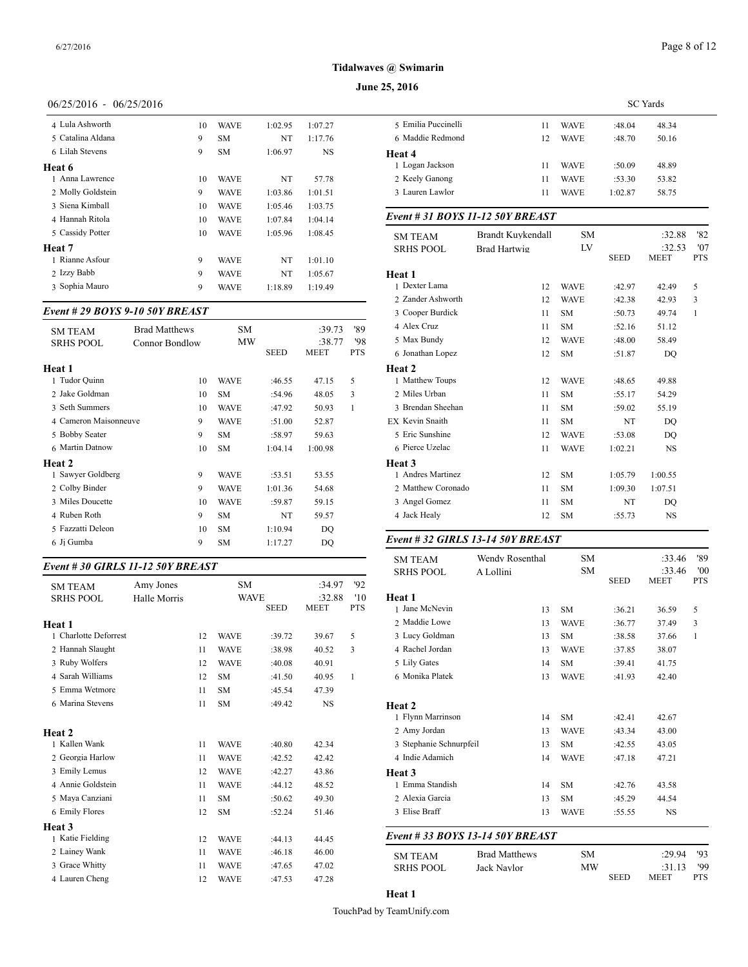#### **June 25, 2016**

# 06/25/2016 - 06/25/2016

| 4 Lula Ashworth   | 10 | <b>WAVE</b> | 1:02.95 | 1:07.27 | 5 Emilia     |
|-------------------|----|-------------|---------|---------|--------------|
| 5 Catalina Aldana | 9  | <b>SM</b>   | NT      | 1:17.76 | 6 Maddi      |
| 6 Lilah Stevens   | 9  | <b>SM</b>   | 1:06.97 | NS      | Heat 4       |
| Heat 6            |    |             |         |         | 1 Logan      |
| 1 Anna Lawrence   | 10 | WAVE        | NT      | 57.78   | 2 Keely      |
| 2 Molly Goldstein | 9  | <b>WAVE</b> | 1:03.86 | 1:01.51 | 3 Laurer     |
| 3 Siena Kimball   | 10 | <b>WAVE</b> | 1:05.46 | 1:03.75 |              |
| 4 Hannah Ritola   | 10 | <b>WAVE</b> | 1:07.84 | 1:04.14 | $Event#$ .   |
| 5 Cassidy Potter  | 10 | <b>WAVE</b> | 1:05.96 | 1:08.45 | <b>SM TE</b> |
| Heat 7            |    |             |         |         | <b>SRHSF</b> |
| 1 Rianne Asfour   | 9  | <b>WAVE</b> | NT      | 1:01.10 |              |
| 2 Izzy Babb       | 9  | <b>WAVE</b> | NT      | 1:05.67 | Heat 1       |
| 3 Sophia Mauro    | 9  | <b>WAVE</b> | 1:18.89 | 1:19.49 | 1 Dexter     |
|                   |    |             |         |         |              |

# *Event # 29 BOYS 9-10 50Y BREAST*

| <b>SM TEAM</b>        | <b>Brad Matthews</b>  | SM          |             | :39.73      | '89        | 4 Alex Cruz                       | 11 | <b>SM</b>   | :52.16  | 51.12     |
|-----------------------|-----------------------|-------------|-------------|-------------|------------|-----------------------------------|----|-------------|---------|-----------|
| <b>SRHS POOL</b>      | <b>Connor Bondlow</b> | <b>MW</b>   |             | :38.77      | '98        | 5 Max Bundy                       | 12 | <b>WAVE</b> | :48.00  | 58.49     |
|                       |                       |             | <b>SEED</b> | <b>MEET</b> | <b>PTS</b> | 6 Jonathan Lopez                  | 12 | <b>SM</b>   | :51.87  | DO        |
| Heat 1                |                       |             |             |             |            | Heat 2                            |    |             |         |           |
| 1 Tudor Quinn         | 10                    | <b>WAVE</b> | :46.55      | 47.15       | 5          | 1 Matthew Toups                   | 12 | <b>WAVE</b> | :48.65  | 49.88     |
| 2 Jake Goldman        | 10                    | <b>SM</b>   | :54.96      | 48.05       | 3          | 2 Miles Urban                     | 11 | <b>SM</b>   | :55.17  | 54.29     |
| 3 Seth Summers        | 10                    | <b>WAVE</b> | :47.92      | 50.93       |            | 3 Brendan Sheehan                 | 11 | <b>SM</b>   | :59.02  | 55.19     |
| 4 Cameron Maisonneuve | 9                     | <b>WAVE</b> | :51.00      | 52.87       |            | EX Kevin Snaith                   | 11 | <b>SM</b>   | NT      | DQ        |
| 5 Bobby Seater        | 9                     | <b>SM</b>   | :58.97      | 59.63       |            | 5 Eric Sunshine                   | 12 | <b>WAVE</b> | :53.08  | DQ        |
| 6 Martin Datnow       | 10                    | <b>SM</b>   | 1:04.14     | 1:00.98     |            | 6 Pierce Uzelac                   | 11 | <b>WAVE</b> | 1:02.21 | <b>NS</b> |
| <b>Heat 2</b>         |                       |             |             |             |            | Heat 3                            |    |             |         |           |
| 1 Sawyer Goldberg     | 9                     | <b>WAVE</b> | :53.51      | 53.55       |            | <b>Andres Martinez</b>            | 12 | <b>SM</b>   | 1:05.79 | 1:00.55   |
| 2 Colby Binder        | 9                     | <b>WAVE</b> | 1:01.36     | 54.68       |            | 2 Matthew Coronado                | 11 | <b>SM</b>   | 1:09.30 | 1:07.51   |
| 3 Miles Doucette      | 10                    | <b>WAVE</b> | :59.87      | 59.15       |            | 3 Angel Gomez                     | 11 | <b>SM</b>   | NT      | DQ        |
| 4 Ruben Roth          | 9                     | <b>SM</b>   | NT          | 59.57       |            | 4 Jack Healy                      | 12 | <b>SM</b>   | :55.73  | <b>NS</b> |
| 5 Fazzatti Deleon     | 10                    | <b>SM</b>   | 1:10.94     | DQ          |            |                                   |    |             |         |           |
| 6 Jj Gumba            | 9                     | <b>SM</b>   | 1:17.27     | DQ          |            | Event # 32 GIRLS 13-14 50Y BREAST |    |             |         |           |
|                       |                       |             |             |             |            |                                   |    |             |         |           |

# *Event # 30 GIRLS 11-12 50Y BREAST*

| Amy Jones    |    | <b>SM</b>   |        | :34.97                     | 92           |                   |
|--------------|----|-------------|--------|----------------------------|--------------|-------------------|
| Halle Morris |    |             |        | :32.88                     | $10^{\circ}$ | Heat 1            |
|              |    |             |        |                            |              | 1 Jane McNevin    |
|              |    |             |        |                            |              | 2 Maddie Lowe     |
|              | 12 | <b>WAVE</b> | :39.72 | 39.67                      | 5            | 3 Lucy Goldman    |
|              | 11 | <b>WAVE</b> | :38.98 | 40.52                      | 3            | 4 Rachel Jordan   |
|              | 12 | <b>WAVE</b> | :40.08 | 40.91                      |              | 5 Lily Gates      |
|              | 12 | <b>SM</b>   | :41.50 | 40.95                      | $\mathbf{1}$ | 6 Monika Platek   |
|              | 11 | <b>SM</b>   | :45.54 | 47.39                      |              |                   |
|              | 11 | <b>SM</b>   | :49.42 | <b>NS</b>                  |              | Heat 2            |
|              |    |             |        |                            |              | 1 Flynn Marrinson |
|              |    |             |        |                            |              | 2 Amy Jordan      |
|              | 11 | <b>WAVE</b> | :40.80 | 42.34                      |              | 3 Stephanie Schnu |
|              | 11 | <b>WAVE</b> | :42.52 | 42.42                      |              | 4 Indie Adamich   |
|              | 12 | <b>WAVE</b> | :42.27 | 43.86                      |              | Heat 3            |
|              | 11 | <b>WAVE</b> | :44.12 | 48.52                      |              | 1 Emma Standish   |
|              | 11 | <b>SM</b>   | :50.62 | 49.30                      |              | 2 Alexia Garcia   |
|              | 12 | <b>SM</b>   | :52.24 | 51.46                      |              | 3 Elise Braff     |
|              |    |             |        |                            |              |                   |
|              | 12 | <b>WAVE</b> | :44.13 | 44.45                      |              | Event # 33 BOY    |
|              | 11 | <b>WAVE</b> | :46.18 | 46.00                      |              | <b>SM TEAM</b>    |
|              | 11 | <b>WAVE</b> | :47.65 | 47.02                      |              | <b>SRHS POOL</b>  |
|              | 12 | <b>WAVE</b> | :47.53 | 47.28                      |              |                   |
|              |    |             |        | <b>WAVE</b><br><b>SEED</b> | <b>MEET</b>  | <b>PTS</b>        |

|                     | <b>SC</b> Yards |             |         |       |  |
|---------------------|-----------------|-------------|---------|-------|--|
| 5 Emilia Puccinelli | 11              | <b>WAVE</b> | :48.04  | 48.34 |  |
| 6 Maddie Redmond    | 12              | <b>WAVE</b> | :48.70  | 50.16 |  |
| Heat 4              |                 |             |         |       |  |
| 1 Logan Jackson     | 11              | <b>WAVE</b> | :50.09  | 48.89 |  |
| 2 Keely Ganong      | 11              | <b>WAVE</b> | :53.30  | 53.82 |  |
| 3 Lauren Lawlor     | 11              | <b>WAVE</b> | 1:02.87 | 58.75 |  |
|                     |                 |             |         |       |  |

# *Event # 31 BOYS 11-12 50Y BREAST*

| <b>SRHS POOL</b><br><b>Brad Hartwig</b><br><b>SEED</b><br><b>MEET</b> | <b>PTS</b> |
|-----------------------------------------------------------------------|------------|
|                                                                       |            |
| Heat 1                                                                |            |
| 1 Dexter Lama<br>12<br><b>WAVE</b><br>:42.97<br>42.49                 | 5          |
| 2 Zander Ashworth<br><b>WAVE</b><br>12<br>:42.38<br>42.93             | 3          |
| 3 Cooper Burdick<br>11<br><b>SM</b><br>:50.73<br>49.74                | 1          |
| 4 Alex Cruz<br><b>SM</b><br>:52.16<br>51.12<br>11                     |            |
| 5 Max Bundy<br>12<br>:48.00<br><b>WAVE</b><br>58.49                   |            |
| 6 Jonathan Lopez<br>SM<br>12<br>:51.87<br>DO                          |            |
| <b>Heat 2</b>                                                         |            |
| 1 Matthew Toups<br>:48.65<br>12<br><b>WAVE</b><br>49.88               |            |
| 2 Miles Urban<br><b>SM</b><br>11<br>54.29<br>:55.17                   |            |
| 3 Brendan Sheehan<br>11<br><b>SM</b><br>55.19<br>:59.02               |            |
| EX Kevin Snaith<br><b>SM</b><br>NT<br>11<br>DQ                        |            |
| 5 Eric Sunshine<br>12<br><b>WAVE</b><br>:53.08<br>DO                  |            |
| 6 Pierce Uzelac<br>11<br>1:02.21<br><b>NS</b><br><b>WAVE</b>          |            |
| <b>Heat 3</b>                                                         |            |
| 1 Andres Martinez<br><b>SM</b><br>1:05.79<br>12<br>1:00.55            |            |
| 2 Matthew Coronado<br><b>SM</b><br>11<br>1:07.51<br>1:09.30           |            |
| 3 Angel Gomez<br>11<br><b>SM</b><br>NT<br>DQ                          |            |
| 4 Jack Healy<br>12<br><b>SM</b><br>:55.73<br><b>NS</b>                |            |

| <b>SM TEAM</b>                   | Wendy Rosenthal      | <b>SM</b>   |             | :33.46                | '89               |
|----------------------------------|----------------------|-------------|-------------|-----------------------|-------------------|
| <b>SRHS POOL</b>                 | A Lollini            | <b>SM</b>   | <b>SEED</b> | :33.46<br><b>MEET</b> | '00<br><b>PTS</b> |
| Heat 1                           |                      |             |             |                       |                   |
| 1 Jane McNevin                   | 13                   | <b>SM</b>   | :36.21      | 36.59                 | 5                 |
| 2 Maddie Lowe                    | 13                   | <b>WAVE</b> | :36.77      | 37.49                 | 3                 |
| 3 Lucy Goldman                   | 13                   | <b>SM</b>   | :38.58      | 37.66                 | 1                 |
| 4 Rachel Jordan                  | 13                   | <b>WAVE</b> | :37.85      | 38.07                 |                   |
| 5 Lily Gates                     | 14                   | <b>SM</b>   | :39.41      | 41.75                 |                   |
| 6 Monika Platek                  | 13                   | <b>WAVE</b> | :41.93      | 42.40                 |                   |
| Heat 2                           |                      |             |             |                       |                   |
| 1 Flynn Marrinson                | 14                   | <b>SM</b>   | :42.41      | 42.67                 |                   |
| 2 Amy Jordan                     | 13                   | <b>WAVE</b> | :43.34      | 43.00                 |                   |
| 3 Stephanie Schnurpfeil          | 13                   | <b>SM</b>   | :42.55      | 43.05                 |                   |
| 4 Indie Adamich                  | 14                   | <b>WAVE</b> | :47.18      | 47.21                 |                   |
| Heat 3                           |                      |             |             |                       |                   |
| 1 Emma Standish                  | 14                   | <b>SM</b>   | :42.76      | 43.58                 |                   |
| 2 Alexia Garcia                  | 13                   | <b>SM</b>   | :45.29      | 44.54                 |                   |
| 3 Elise Braff                    | 13                   | <b>WAVE</b> | :55.55      | <b>NS</b>             |                   |
| Event # 33 BOYS 13-14 50Y BREAST |                      |             |             |                       |                   |
| <b>SM TEAM</b>                   | <b>Brad Matthews</b> | <b>SM</b>   |             | :29.94                | '93               |
| <b>SRHS POOL</b>                 | Jack Naylor          | MW          |             | :31.13                | '99               |
|                                  |                      |             | <b>SEED</b> | <b>MEET</b>           | <b>PTS</b>        |

# **Heat 1**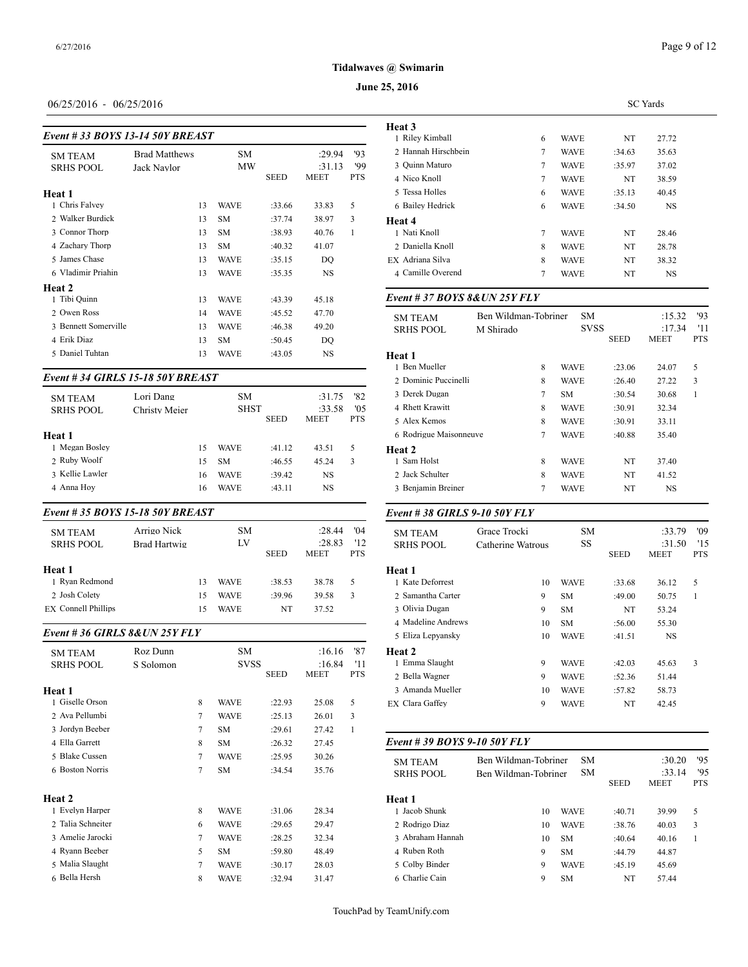#### **June 25, 2016**

# 06/25/2016 - 06/25/2016

| Event # 33 BOYS 13-14 50Y BREAST |                      | Heat 3<br>1 Riley Kimball |             |             |             |            |                    |
|----------------------------------|----------------------|---------------------------|-------------|-------------|-------------|------------|--------------------|
| <b>SM TEAM</b>                   | <b>Brad Matthews</b> |                           | <b>SM</b>   |             | :29.94      | '93        | 2 Hannah Hirschb   |
| <b>SRHS POOL</b>                 | Jack Naylor          |                           | MW          |             | :31.13      | '99        | 3 Quinn Maturo     |
|                                  |                      |                           |             | <b>SEED</b> | <b>MEET</b> | <b>PTS</b> | 4 Nico Knoll       |
| Heat 1                           |                      |                           |             |             |             |            | 5 Tessa Holles     |
| 1 Chris Falvey                   |                      | 13                        | <b>WAVE</b> | :33.66      | 33.83       | 5          | 6 Bailey Hedrick   |
| 2 Walker Burdick                 |                      | 13                        | <b>SM</b>   | :37.74      | 38.97       | 3          | Heat 4             |
| 3 Connor Thorp                   |                      | 13                        | <b>SM</b>   | :38.93      | 40.76       | 1          | 1 Nati Knoll       |
| 4 Zachary Thorp                  |                      | 13                        | <b>SM</b>   | :40.32      | 41.07       |            | 2. Daniella Knoll  |
| 5 James Chase                    |                      | 13                        | <b>WAVE</b> | :35.15      | DO          |            | EX Adriana Silva   |
| 6 Vladimir Priahin               |                      | 13                        | <b>WAVE</b> | :35.35      | NS          |            | 4 Camille Overene  |
| Heat 2                           |                      |                           |             |             |             |            |                    |
| 1 Tibi Quinn                     |                      | 13                        | <b>WAVE</b> | :43.39      | 45.18       |            | Event # $37 BOY$   |
| 2. Owen Ross                     |                      | 14                        | <b>WAVE</b> | :45.52      | 47.70       |            | <b>SM TEAM</b>     |
| 3 Bennett Somerville             |                      | 13                        | <b>WAVE</b> | :46.38      | 49.20       |            | <b>SRHS POOL</b>   |
| 4 Erik Diaz                      |                      | 13                        | <b>SM</b>   | :50.45      | DQ          |            |                    |
| 5 Daniel Tuhtan                  |                      | 13                        | <b>WAVE</b> | :43.05      | <b>NS</b>   |            | Heat 1             |
|                                  |                      |                           |             |             |             |            | 1 Ben Mueller      |
| Event #34 GIRLS 15-18 50Y BREAST |                      |                           |             |             |             |            | 2 Dominic Puccin   |
|                                  |                      |                           |             |             |             |            | 2. Donale Dissour- |

| <b>SM TEAM</b>                  | Lori Dang     |    | <b>SM</b>   |             | :31.75      | '82        | 3 Derek Dugan    |
|---------------------------------|---------------|----|-------------|-------------|-------------|------------|------------------|
| <b>SRHS POOL</b>                | Christy Meier |    | <b>SHST</b> |             | :33.58      | '0.5       | 4 Rhett Krawitt  |
|                                 |               |    |             | <b>SEED</b> | <b>MEET</b> | <b>PTS</b> | 5 Alex Kemos     |
| Heat 1                          |               |    |             |             |             |            | 6 Rodrigue Maiso |
| 1 Megan Boslev                  |               | 15 | <b>WAVE</b> | :41.12      | 43.51       | 5          | Heat 2           |
| 2 Ruby Woolf                    |               | 15 | <b>SM</b>   | :46.55      | 45.24       | 3          | 1 Sam Holst      |
| 3 Kellie Lawler                 |               | 16 | <b>WAVE</b> | :39.42      | <b>NS</b>   |            | 2 Jack Schulter  |
| 4 Anna Hoy                      |               | 16 | <b>WAVE</b> | :43.11      | NS.         |            | 3 Benjamin Brein |
| Event #35 BOYS 15-18 50Y BREAST |               |    |             |             |             |            | Event #38 GIRI   |
| <b>SM TEAM</b>                  | Arrigo Nick   |    | <b>SM</b>   |             | : 28.44     | 04'        | <b>SM TEAM</b>   |
| <b>SRHS POOL</b>                | Brad Hartwig  |    | LV          |             | :28.83      | '12        | <b>SRHS POOL</b> |
|                                 |               |    |             | <b>SEED</b> | <b>MEET</b> | <b>PTS</b> |                  |

| Heat 1                     |    |             |        |       | <b>Heat 1</b> |
|----------------------------|----|-------------|--------|-------|---------------|
| 1 Ryan Redmond             | 13 | <b>WAVE</b> | :38.53 | 38.78 | 1 Kate Defo   |
| 2 Josh Colety              | 15 | <b>WAVE</b> | :39.96 | 39.58 | 2 Samantha    |
| <b>EX</b> Connell Phillips | 15 | <b>WAVE</b> | NT     | 37.52 | 3 Olivia Du   |
|                            |    |             |        |       | -----         |

# *Event # 36 GIRLS 8&UN 25Y FLY*

| <b>SM TEAM</b><br><b>SRHS POOL</b> | Roz Dunn<br>S Solomon |   | <b>SM</b><br><b>SVSS</b> | <b>SEED</b> | :16.16<br>:16.84<br><b>MEET</b> | '87<br>'11<br><b>PTS</b> | <b>Heat 2</b><br>1 Emma Slaught<br>2 Bella Wagner |
|------------------------------------|-----------------------|---|--------------------------|-------------|---------------------------------|--------------------------|---------------------------------------------------|
| Heat 1                             |                       |   |                          |             |                                 |                          | 3 Amanda Muelle                                   |
| 1 Giselle Orson                    |                       | 8 | <b>WAVE</b>              | :22.93      | 25.08                           | 5                        | EX Clara Gaffey                                   |
| 2 Ava Pellumbi                     |                       | 7 | <b>WAVE</b>              | :25.13      | 26.01                           | 3                        |                                                   |
| 3 Jordyn Beeber                    |                       | 7 | <b>SM</b>                | :29.61      | 27.42                           | 1                        |                                                   |
| 4 Ella Garrett                     |                       | 8 | <b>SM</b>                | :26.32      | 27.45                           |                          | Event # 39 BOY                                    |
| 5 Blake Cussen                     |                       | 7 | <b>WAVE</b>              | :25.95      | 30.26                           |                          | <b>SM TEAM</b>                                    |
| 6 Boston Norris                    |                       | 7 | <b>SM</b>                | :34.54      | 35.76                           |                          | <b>SRHS POOL</b>                                  |
| <b>Heat 2</b>                      |                       |   |                          |             |                                 |                          | Heat 1                                            |
| 1 Evelyn Harper                    |                       | 8 | <b>WAVE</b>              | :31.06      | 28.34                           |                          | 1 Jacob Shunk                                     |
| 2 Talia Schneiter                  |                       | 6 | <b>WAVE</b>              | :29.65      | 29.47                           |                          | 2 Rodrigo Diaz                                    |
| 3 Amelie Jarocki                   |                       | 7 | <b>WAVE</b>              | :28.25      | 32.34                           |                          | 3 Abraham Hanna                                   |
| 4 Ryann Beeber                     |                       | 5 | <b>SM</b>                | :59.80      | 48.49                           |                          | 4 Ruben Roth                                      |
| 5 Malia Slaught                    |                       | 7 | <b>WAVE</b>              | :30.17      | 28.03                           |                          | 5 Colby Binder                                    |
| 6 Bella Hersh                      |                       | 8 | <b>WAVE</b>              | :32.94      | 31.47                           |                          | 6 Charlie Cain                                    |
|                                    |                       |   |                          |             |                                 |                          |                                                   |

|                     |   | <b>SC</b> Yards |        |           |  |  |  |  |  |  |
|---------------------|---|-----------------|--------|-----------|--|--|--|--|--|--|
| <b>Heat 3</b>       |   |                 |        |           |  |  |  |  |  |  |
| 1 Riley Kimball     | 6 | <b>WAVE</b>     | NT     | 27.72     |  |  |  |  |  |  |
| 2 Hannah Hirschbein | 7 | <b>WAVE</b>     | :34.63 | 35.63     |  |  |  |  |  |  |
| 3 Ouinn Maturo      | 7 | <b>WAVE</b>     | :35.97 | 37.02     |  |  |  |  |  |  |
| 4 Nico Knoll        | 7 | <b>WAVE</b>     | NT     | 38.59     |  |  |  |  |  |  |
| 5 Tessa Holles      | 6 | <b>WAVE</b>     | :35.13 | 40.45     |  |  |  |  |  |  |
| 6 Bailey Hedrick    | 6 | <b>WAVE</b>     | :34.50 | <b>NS</b> |  |  |  |  |  |  |
| Heat 4              |   |                 |        |           |  |  |  |  |  |  |
| 1 Nati Knoll        | 7 | <b>WAVE</b>     | NT     | 28.46     |  |  |  |  |  |  |
| 2 Daniella Knoll    | 8 | <b>WAVE</b>     | NT     | 28.78     |  |  |  |  |  |  |
| EX Adriana Silva    | 8 | <b>WAVE</b>     | NT     | 38.32     |  |  |  |  |  |  |
| 4 Camille Overend   | 7 | <b>WAVE</b>     | NT     | <b>NS</b> |  |  |  |  |  |  |
|                     |   |                 |        |           |  |  |  |  |  |  |

#### *Event # 37 BOYS 8&UN 25Y FLY*

|                                    | Ben Wildman-Tobriner | <b>SM</b>   |             | :15.32      | 93         |
|------------------------------------|----------------------|-------------|-------------|-------------|------------|
| <b>SM TEAM</b><br><b>SRHS POOL</b> | M Shirado            | <b>SVSS</b> |             | :17.34      | '11        |
|                                    |                      |             | <b>SEED</b> | <b>MEET</b> | <b>PTS</b> |
| Heat 1                             |                      |             |             |             |            |
| 1 Ben Mueller                      | 8                    | <b>WAVE</b> | :23.06      | 24.07       | 5          |
| 2 Dominic Puccinelli               | 8                    | <b>WAVE</b> | :26.40      | 27.22       | 3          |
| 3 Derek Dugan                      | $\tau$               | SM          | :30.54      | 30.68       | 1          |
| 4 Rhett Krawitt                    | 8                    | <b>WAVE</b> | :30.91      | 32.34       |            |
| 5 Alex Kemos                       | 8                    | <b>WAVE</b> | :30.91      | 33.11       |            |
| 6 Rodrigue Maisonneuve             | 7                    | <b>WAVE</b> | :40.88      | 35.40       |            |
| <b>Heat 2</b>                      |                      |             |             |             |            |
| 1 Sam Holst                        | 8                    | <b>WAVE</b> | NT          | 37.40       |            |
| 2 Jack Schulter                    | 8                    | <b>WAVE</b> | NT          | 41.52       |            |
| 3 Benjamin Breiner                 | 7                    | <b>WAVE</b> | NT          | <b>NS</b>   |            |
|                                    |                      |             |             |             |            |

#### *Event # 38 GIRLS 9-10 50Y FLY*

| <b>SM TEAM</b>     | Grace Trocki      |    | <b>SM</b>   |             | :33.79      | '09        |
|--------------------|-------------------|----|-------------|-------------|-------------|------------|
| <b>SRHS POOL</b>   | Catherine Watrous |    | SS          |             | :31.50      | '15        |
|                    |                   |    |             | <b>SEED</b> | <b>MEET</b> | <b>PTS</b> |
| Heat 1             |                   |    |             |             |             |            |
| 1 Kate Deforrest   |                   | 10 | <b>WAVE</b> | :33.68      | 36.12       | 5          |
| 2 Samantha Carter  |                   | 9  | SM          | :49.00      | 50.75       | 1          |
| 3 Olivia Dugan     |                   | 9  | SM          | NT          | 53.24       |            |
| 4 Madeline Andrews |                   | 10 | SM          | :56.00      | 55.30       |            |
| 5 Eliza Lepyansky  |                   | 10 | <b>WAVE</b> | :41.51      | <b>NS</b>   |            |
| <b>Heat 2</b>      |                   |    |             |             |             |            |
| 1 Emma Slaught     |                   | 9  | <b>WAVE</b> | :42.03      | 45.63       | 3          |
| 2 Bella Wagner     |                   | 9  | <b>WAVE</b> | :52.36      | 51.44       |            |
| 3 Amanda Mueller   |                   | 10 | <b>WAVE</b> | :57.82      | 58.73       |            |
| EX Clara Gaffey    |                   | 9  | <b>WAVE</b> | NT          | 42.45       |            |
|                    |                   |    |             |             |             |            |

#### *Event # 39 BOYS 9-10 50Y FLY*

| <b>SM TEAM</b><br><b>SRHS POOL</b> | Ben Wildman-Tobriner<br>Ben Wildman-Tobriner | <b>SM</b><br>SM. | <b>SEED</b> | :30.20<br>:33.14<br><b>MEET</b> | '95<br>95<br><b>PTS</b> |
|------------------------------------|----------------------------------------------|------------------|-------------|---------------------------------|-------------------------|
| Heat 1                             |                                              |                  |             |                                 |                         |
| 1 Jacob Shunk                      | 10                                           | <b>WAVE</b>      | :40.71      | 39.99                           | 5                       |
| 2 Rodrigo Diaz                     | 10                                           | <b>WAVE</b>      | :38.76      | 40.03                           | 3                       |
| 3 Abraham Hannah                   | 10                                           | <b>SM</b>        | :40.64      | 40.16                           |                         |
| 4 Ruben Roth                       | 9                                            | <b>SM</b>        | :44.79      | 44.87                           |                         |
| 5 Colby Binder                     | 9                                            | <b>WAVE</b>      | :45.19      | 45.69                           |                         |
| 6 Charlie Cain                     | 9                                            | <b>SM</b>        | NT          | 57.44                           |                         |
|                                    |                                              |                  |             |                                 |                         |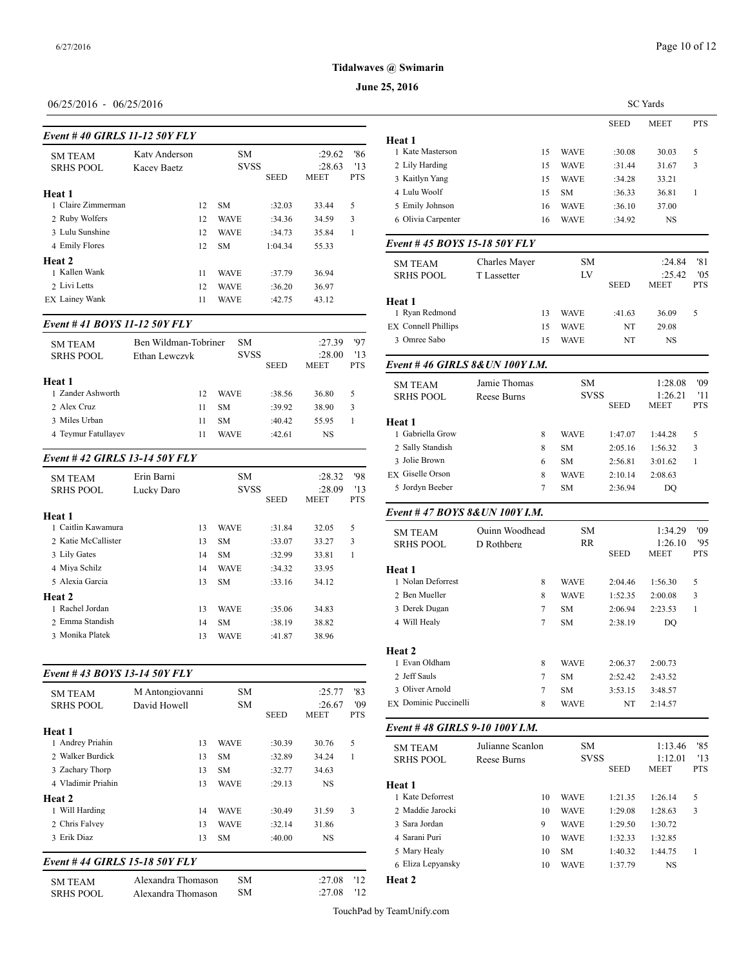# **June 25, 2016**

# 06/25/2016 - 06/25/2016

| Event #40 GIRLS 11-12 50Y FLY |               | Heat 1 |             |             |             |            |                            |
|-------------------------------|---------------|--------|-------------|-------------|-------------|------------|----------------------------|
| <b>SM TEAM</b>                | Katy Anderson |        | <b>SM</b>   |             | :29.62      | '86        | 1 Kate Masterson           |
| <b>SRHS POOL</b>              | Kacev Baetz   |        | <b>SVSS</b> |             | :28.63      | 13         | 2 Lily Harding             |
|                               |               |        |             | <b>SEED</b> | <b>MEET</b> | <b>PTS</b> | 3 Kaitlyn Yang             |
| Heat 1                        |               |        |             |             |             |            | 4 Lulu Woolf               |
| 1 Claire Zimmerman            |               | 12     | <b>SM</b>   | :32.03      | 33.44       | 5          | 5 Emily Johnson            |
| 2 Ruby Wolfers                |               | 12     | <b>WAVE</b> | :34.36      | 34.59       | 3          | 6 Olivia Carpenter         |
| 3 Lulu Sunshine               |               | 12     | <b>WAVE</b> | :34.73      | 35.84       | 1          |                            |
| 4 Emily Flores                |               | 12     | <b>SM</b>   | 1:04.34     | 55.33       |            | Event #45 $BOY$            |
| Heat 2                        |               |        |             |             |             |            | <b>SM TEAM</b>             |
| 1 Kallen Wank                 |               | 11     | WAVE        | :37.79      | 36.94       |            | <b>SRHS POOL</b>           |
| 2 Livi Letts                  |               | 12     | <b>WAVE</b> | :36.20      | 36.97       |            |                            |
| EX Lainey Wank                |               | 11     | WAVE        | :42.75      | 43.12       |            | Heat 1<br>1. Ryan Redmond. |

#### *Event # 41 BOYS 11-12 50Y FLY*

| <b>SM TEAM</b>      | Ben Wildman-Tobriner |             | SM.         |             | :27.39                | '97<br>13  | 3 Omree Sabo     |
|---------------------|----------------------|-------------|-------------|-------------|-----------------------|------------|------------------|
| <b>SRHS POOL</b>    | Ethan Lewczyk        |             | <b>SVSS</b> | <b>SEED</b> | :28.00<br><b>MEET</b> | <b>PTS</b> | Event #46 GIRI   |
| Heat 1              |                      |             |             |             |                       |            | <b>SM TEAM</b>   |
| 1 Zander Ashworth   | 12                   | <b>WAVE</b> |             | :38.56      | 36.80                 | 5          | <b>SRHS POOL</b> |
| 2 Alex Cruz         | 11                   | <b>SM</b>   |             | :39.92      | 38.90                 | 3          |                  |
| 3 Miles Urban       | 11                   | <b>SM</b>   |             | :40.42      | 55.95                 |            | Heat 1           |
| 4 Teymur Fatullayev |                      | WAVE        |             | :42.61      | NS                    |            | 1 Gabriella Grow |

# *Event # 42 GIRLS 13-14 50Y FLY*

| <b>SM TEAM</b><br><b>SRHS POOL</b> | Erin Barni<br>Lucky Daro | <b>SM</b><br><b>SVSS</b><br><b>SEED</b> |             | :28.32<br>:28.09<br><b>MEET</b> | '98<br>'13<br><b>PTS</b> | EX Giselle Orson<br>5 Jordyn Beeber |                   |
|------------------------------------|--------------------------|-----------------------------------------|-------------|---------------------------------|--------------------------|-------------------------------------|-------------------|
| Heat 1                             |                          |                                         |             |                                 |                          |                                     | Event #47 $BOY$   |
| 1 Caitlin Kawamura                 |                          | 13                                      | <b>WAVE</b> | :31.84                          | 32.05                    | 5                                   | <b>SM TEAM</b>    |
| 2 Katie McCallister                |                          | 13                                      | SM.         | :33.07                          | 33.27                    | 3                                   | <b>SRHS POOL</b>  |
| 3 Lily Gates                       |                          | 14                                      | SM.         | :32.99                          | 33.81                    | 1                                   |                   |
| 4 Miva Schilz                      |                          | 14                                      | <b>WAVE</b> | :34.32                          | 33.95                    |                                     | Heat 1            |
| 5 Alexia Garcia                    |                          | 13                                      | SM.         | :33.16                          | 34.12                    |                                     | 1 Nolan Deforrest |
| Heat 2                             |                          |                                         |             |                                 |                          |                                     | 2 Ben Mueller     |
| 1 Rachel Jordan                    |                          | 13                                      | <b>WAVE</b> | :35.06                          | 34.83                    |                                     | 3 Derek Dugan     |
| 2 Emma Standish                    |                          | 14                                      | SM.         | :38.19                          | 38.82                    |                                     | 4 Will Healy      |
| 3 Monika Platek                    |                          | 13                                      | WAVE        | :41.87                          | 38.96                    |                                     |                   |

# *Event # 43 BOYS 13-14 50Y FLY*

| <b>SM TEAM</b><br><b>SRHS POOL</b> | M Antongiovanni<br>David Howell | <b>SM</b><br><b>SM</b> | <b>SEED</b> | :25.77<br>:26.67<br>MEET | '83<br>'09<br><b>PTS</b> | 3 Oliver Arnold<br><b>EX</b> Dominic Puccin |
|------------------------------------|---------------------------------|------------------------|-------------|--------------------------|--------------------------|---------------------------------------------|
| Heat 1                             |                                 |                        |             |                          |                          | Event #48 GIRI                              |
| 1 Andrey Priahin                   | 13                              | <b>WAVE</b>            | :30.39      | 30.76                    | 5                        | <b>SM TEAM</b>                              |
| 2. Walker Burdick                  | 13                              | SM.                    | :32.89      | 34.24                    | 1                        | <b>SRHS POOL</b>                            |
| 3 Zachary Thorp                    | 13                              | <b>SM</b>              | :32.77      | 34.63                    |                          |                                             |
| 4 Vladimir Priahin                 | 13                              | <b>WAVE</b>            | :29.13      | <b>NS</b>                |                          | Heat 1<br>1 Kate Deforrest                  |
| Heat 2<br>1 Will Harding           | 14                              | <b>WAVE</b>            | :30.49      | 31.59                    | 3                        | 2 Maddie Jarocki                            |
| 2 Chris Falvey                     | 13                              | <b>WAVE</b>            | :32.14      | 31.86                    |                          | 3 Sara Jordan                               |
| 3 Erik Diaz                        | 13                              | <b>SM</b>              | :40.00      | <b>NS</b>                |                          | 4 Sarani Puri                               |
|                                    | Event # 44 GIRLS 15-18 50Y FLY  |                        |             |                          |                          | 5 Mary Healy<br>6 Eliza Lepyansky           |
| <b>SM TEAM</b>                     | Alexandra Thomason              | <b>SM</b>              |             | :27.08                   | '12                      | Heat 2                                      |

SRHS POOL Alexandra Thomason SM :27.08 '12

|                                   |                       |        |             |             | <b>SC</b> Yards |                   |
|-----------------------------------|-----------------------|--------|-------------|-------------|-----------------|-------------------|
|                                   |                       |        |             | <b>SEED</b> | MEET            | <b>PTS</b>        |
| Heat 1                            |                       |        |             |             |                 |                   |
| 1 Kate Masterson                  |                       | 15     | <b>WAVE</b> | :30.08      | 30.03           | 5                 |
| 2 Lily Harding                    |                       | 15     | WAVE        | :31.44      | 31.67           | 3                 |
| 3 Kaitlyn Yang                    |                       | 15     | <b>WAVE</b> | :34.28      | 33.21           |                   |
| 4 Lulu Woolf                      |                       | 15     | <b>SM</b>   | :36.33      | 36.81           | 1                 |
| 5 Emily Johnson                   |                       | 16     | WAVE        | :36.10      | 37.00           |                   |
| 6 Olivia Carpenter                |                       | 16     | WAVE        | :34.92      | NS              |                   |
| Event # 45 BOYS 15-18 50Y FLY     |                       |        |             |             |                 |                   |
| <b>SM TEAM</b>                    | Charles Mayer         |        | SM          |             | :24.84          | '81               |
| <b>SRHS POOL</b>                  | T Lassetter           |        | LV          | <b>SEED</b> | :25.42<br>MEET  | '05<br><b>PTS</b> |
| Heat 1                            |                       |        |             |             |                 |                   |
| 1 Ryan Redmond                    |                       | 13     | <b>WAVE</b> | :41.63      | 36.09           | 5                 |
| <b>EX</b> Connell Phillips        |                       | 15     | WAVE        | NT          | 29.08           |                   |
| 3 Omree Sabo                      |                       | 15     | WAVE        | NT          | NS              |                   |
| Event # 46 GIRLS 8&UN 100Y I.M.   |                       |        |             |             |                 |                   |
| <b>SM TEAM</b>                    | Jamie Thomas          |        | SМ          |             | 1:28.08         | '09               |
| <b>SRHS POOL</b>                  | <b>Reese Burns</b>    |        | <b>SVSS</b> |             | 1:26.21         | '11               |
|                                   |                       |        |             | <b>SEED</b> | MEET            | <b>PTS</b>        |
| Heat 1                            |                       |        |             |             |                 |                   |
| 1 Gabriella Grow                  |                       | 8      | <b>WAVE</b> | 1:47.07     | 1:44.28         | 5                 |
| 2 Sally Standish<br>3 Jolie Brown |                       | 8      | <b>SM</b>   | 2:05.16     | 1:56.32         | 3                 |
| EX Giselle Orson                  |                       | 6<br>8 | <b>SM</b>   | 2:56.81     | 3:01.62         | 1                 |
| 5 Jordyn Beeber                   |                       | 7      | <b>WAVE</b> | 2:10.14     | 2:08.63         |                   |
|                                   |                       |        | SM          | 2:36.94     | DQ              |                   |
| Event # 47 BOYS 8&UN 100Y I.M.    |                       |        |             |             |                 |                   |
| <b>SM TEAM</b>                    | <b>Ouinn Woodhead</b> |        | SM          |             | 1:34.29         | '09               |
| <b>SRHS POOL</b>                  | D Rothberg            |        | RR          |             | 1:26.10         | '95               |
|                                   |                       |        |             | <b>SEED</b> | MEET            | <b>PTS</b>        |
| Heat 1                            |                       |        |             |             |                 |                   |
| 1 Nolan Deforrest                 |                       | 8      | <b>WAVE</b> | 2:04.46     | 1:56.30         | 5                 |
| 2 Ben Mueller                     |                       | 8      | <b>WAVE</b> | 1:52.35     | 2:00.08         | 3                 |
| 3 Derek Dugan                     |                       | 7      | <b>SM</b>   | 2:06.94     | 2:23.53         | 1                 |
| 4 Will Healy                      |                       | 7      | <b>SM</b>   | 2:38.19     | DQ              |                   |
| Heat 2                            |                       |        |             |             |                 |                   |
| 1 Evan Oldham                     |                       | 8      | WAVE        | 2:06.37     | 2:00.73         |                   |
| 2 Jeff Sauls                      |                       | 7      | SM          | 2:52.42     | 2:43.52         |                   |
| 3 Oliver Arnold                   |                       | 7      | SM          | 3:53.15     | 3:48.57         |                   |
| EX Dominic Puccinelli             |                       | 8      | <b>WAVE</b> | NT          | 2:14.57         |                   |
| Event #48 GIRLS 9-10 100Y I.M.    |                       |        |             |             |                 |                   |
| SM TEAM                           | Julianne Scanlon      |        | SΜ          |             | 1:13.46         | '85               |
| <b>SRHS POOL</b>                  | Reese Burns           |        | SVSS        |             | 1:12.01         | '13               |
|                                   |                       |        |             | SEED        | MEET            | PTS               |
| Heat 1                            |                       |        |             |             |                 |                   |
| 1 Kate Deforrest                  |                       | 10     | <b>WAVE</b> | 1:21.35     | 1:26.14         | 5                 |
| 2 Maddie Jarocki                  |                       | 10     | WAVE        | 1:29.08     | 1:28.63         | 3                 |
| 3 Sara Jordan                     |                       | 9      | WAVE        | 1:29.50     | 1:30.72         |                   |
| 4 Sarani Puri                     |                       | 10     | WAVE        | 1:32.33     | 1:32.85         |                   |
| 5 Mary Healy                      |                       | 10     | SM          | 1:40.32     | 1:44.75         | 1                 |
| 6 Eliza Lepyansky                 |                       | 10     | WAVE        | 1:37.79     | NS              |                   |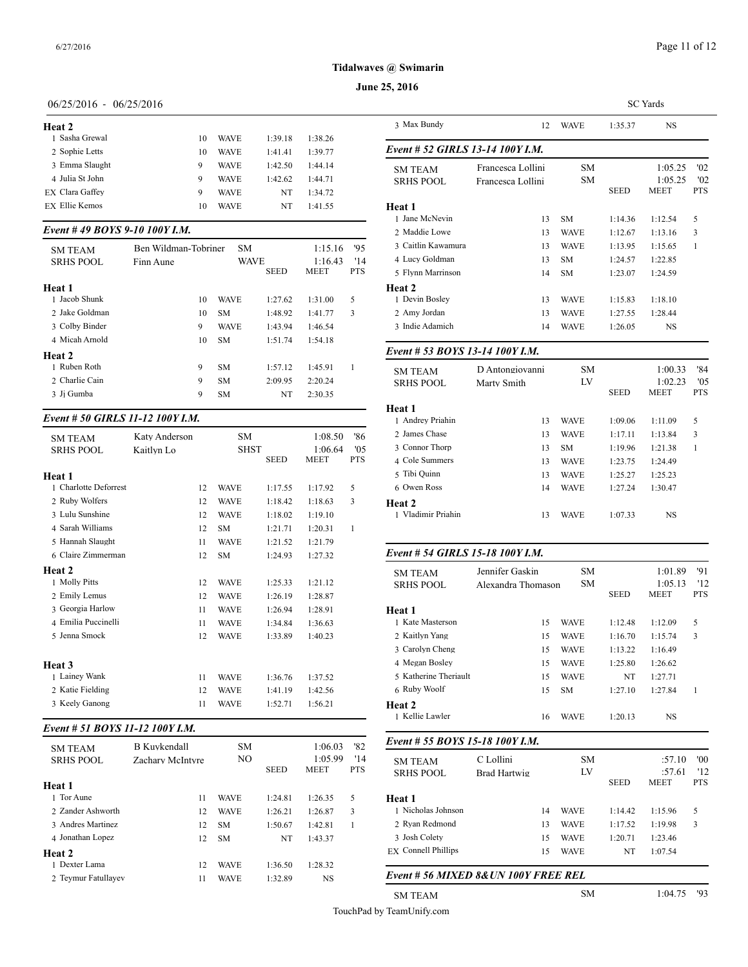#### **June 25, 2016**

# 06/25/2016 - 06/25/2016

| Heat 2                |    |             |         |         | 3 Ma            |
|-----------------------|----|-------------|---------|---------|-----------------|
| 1 Sasha Grewal        | 10 | <b>WAVE</b> | 1:39.18 | 1:38.26 |                 |
| 2 Sophie Letts        | 10 | WAVE        | 1:41.41 | 1:39.77 | Event           |
| 3 Emma Slaught        | 9  | <b>WAVE</b> | 1:42.50 | 1:44.14 | SM <sub>T</sub> |
| 4 Julia St John       | 9  | <b>WAVE</b> | 1:42.62 | 1:44.71 | <b>SRHS</b>     |
| EX Clara Gaffey       | 9  | <b>WAVE</b> | NT      | 1:34.72 |                 |
| <b>EX Ellie Kemos</b> | 10 | WAVE        | NT      | 1:41.55 | Heat 1          |
|                       |    |             |         |         |                 |

# *Event # 49 BOYS 9-10 100Y I.M.*

| <b>SM TEAM</b>   | Ben Wildman-Tobriner | <b>SM</b>   |             | 1:15.16     | 95         | 3 Caitlin Kawamu  |
|------------------|----------------------|-------------|-------------|-------------|------------|-------------------|
| <b>SRHS POOL</b> | Finn Aune            | <b>WAVE</b> |             | 1:16.43     | '14        | 4 Lucy Goldman    |
|                  |                      |             | <b>SEED</b> | <b>MEET</b> | <b>PTS</b> | 5 Flynn Marrinsor |
| Heat 1           |                      |             |             |             |            | Heat 2            |
| 1 Jacob Shunk    | 10                   | <b>WAVE</b> | 1:27.62     | 1:31.00     | 5          | 1 Devin Boslev    |
| 2. Jake Goldman  | 10                   | <b>SM</b>   | 1:48.92     | 1:41.77     | 3          | 2 Amy Jordan      |
| 3 Colby Binder   | 9                    | <b>WAVE</b> | 1:43.94     | 1:46.54     |            | 3 Indie Adamich   |
| 4 Micah Arnold   | 10                   | <b>SM</b>   | 1:51.74     | 1:54.18     |            |                   |
| Heat 2           |                      |             |             |             |            | Event # 53 $BOY$  |
| 1 Ruben Roth     | 9                    | <b>SM</b>   | 1:57.12     | 1:45.91     |            | <b>SM TEAM</b>    |
| 2 Charlie Cain   | 9                    | <b>SM</b>   | 2:09.95     | 2:20.24     |            | <b>SRHS POOL</b>  |
| 3 Ji Gumba       | 9                    | <b>SM</b>   | NT          | 2:30.35     |            |                   |
|                  |                      |             |             |             |            |                   |

# *Event # 50 GIRLS 11-12 100Y I.M.*

| <b>SM TEAM</b>        | Katy Anderson |    | SM          |             | 1:08.50                | '86               | 2 James Chase                    |
|-----------------------|---------------|----|-------------|-------------|------------------------|-------------------|----------------------------------|
| <b>SRHS POOL</b>      | Kaitlyn Lo    |    | <b>SHST</b> | <b>SEED</b> | 1:06.64<br><b>MEET</b> | '05<br><b>PTS</b> | 3 Connor Thorp<br>4 Cole Summers |
| Heat 1                |               |    |             |             |                        |                   | 5 Tibi Quinn                     |
| 1 Charlotte Deforrest |               | 12 | <b>WAVE</b> | 1:17.55     | 1:17.92                | 5                 | 6 Owen Ross                      |
| 2 Ruby Wolfers        |               | 12 | <b>WAVE</b> | 1:18.42     | 1:18.63                | 3                 | Heat 2                           |
| 3 Lulu Sunshine       |               | 12 | <b>WAVE</b> | 1:18.02     | 1:19.10                |                   | 1 Vladimir Priahir               |
| 4 Sarah Williams      |               | 12 | <b>SM</b>   | 1:21.71     | 1:20.31                | 1                 |                                  |
| 5 Hannah Slaught      |               | 11 | <b>WAVE</b> | 1:21.52     | 1:21.79                |                   |                                  |
| 6 Claire Zimmerman    |               | 12 | <b>SM</b>   | 1:24.93     | 1:27.32                |                   | Event # 54 GIRI                  |
| Heat 2                |               |    |             |             |                        |                   | <b>SM TEAM</b>                   |
| 1 Molly Pitts         |               | 12 | <b>WAVE</b> | 1:25.33     | 1:21.12                |                   | <b>SRHS POOL</b>                 |
| 2 Emily Lemus         |               | 12 | <b>WAVE</b> | 1:26.19     | 1:28.87                |                   |                                  |
| 3 Georgia Harlow      |               | 11 | <b>WAVE</b> | 1:26.94     | 1:28.91                |                   | Heat 1                           |
| 4 Emilia Puccinelli   |               | 11 | <b>WAVE</b> | 1:34.84     | 1:36.63                |                   | 1 Kate Masterson                 |
| 5 Jenna Smock         |               | 12 | <b>WAVE</b> | 1:33.89     | 1:40.23                |                   | 2 Kaitlyn Yang                   |
|                       |               |    |             |             |                        |                   | 3 Carolyn Cheng                  |
| Heat 3                |               |    |             |             |                        |                   | 4 Megan Bosley                   |
| 1 Lainey Wank         |               | 11 | <b>WAVE</b> | 1:36.76     | 1:37.52                |                   | 5 Katherine Theria               |
| 2 Katie Fielding      |               | 12 | <b>WAVE</b> | 1:41.19     | 1:42.56                |                   | 6 Ruby Woolf                     |
| 3 Keely Ganong        |               | 11 | <b>WAVE</b> | 1:52.71     | 1:56.21                |                   | <b>Heat 2</b><br>1 Kellie Lawler |

# *Event # 51 BOYS 11-12 100Y I.M.*

| <b>SM TEAM</b>      | <b>B</b> Kuvkendall | <b>SM</b>      |             | 1:06.03                | '82               | Event # 55 $BOY$                   |
|---------------------|---------------------|----------------|-------------|------------------------|-------------------|------------------------------------|
| <b>SRHS POOL</b>    | Zachary McIntyre    | N <sub>O</sub> | <b>SEED</b> | 1:05.99<br><b>MEET</b> | '14<br><b>PTS</b> | <b>SM TEAM</b><br><b>SRHS POOL</b> |
| Heat 1              |                     |                |             |                        |                   |                                    |
| 1 Tor Aune          | 11                  | <b>WAVE</b>    | 1:24.81     | 1:26.35                | 5                 | Heat 1                             |
| 2. Zander Ashworth  | 12                  | <b>WAVE</b>    | 1:26.21     | 1:26.87                | 3                 | 1 Nicholas Johnso                  |
| 3 Andres Martinez   | 12                  | <b>SM</b>      | 1:50.67     | 1:42.81                |                   | 2 Ryan Redmond                     |
| 4 Jonathan Lopez    | 12                  | <b>SM</b>      | NT          | 1:43.37                |                   | 3 Josh Colety                      |
| Heat 2              |                     |                |             |                        |                   | <b>EX</b> Connell Phillips         |
| 1 Dexter Lama       | 12                  | <b>WAVE</b>    | 1:36.50     | 1:28.32                |                   |                                    |
| 2 Teymur Fatullayev | 11                  | <b>WAVE</b>    | 1:32.89     | NS                     |                   | Event # 56 MIX                     |

|                                  |                    |                 |                    | <b>SC</b> Yards    |            |
|----------------------------------|--------------------|-----------------|--------------------|--------------------|------------|
| 3 Max Bundy                      | 12                 | WAVE            | 1:35.37            | <b>NS</b>          |            |
| Event # 52 GIRLS 13-14 100Y I.M. |                    |                 |                    |                    |            |
| <b>SM TEAM</b>                   | Francesca Lollini  | <b>SM</b>       |                    | 1:05.25            | '02        |
| <b>SRHS POOL</b>                 | Francesca Lollini  | SM              |                    | 1:05.25            | '02        |
|                                  |                    |                 | <b>SEED</b>        | MEET               | <b>PTS</b> |
| Heat 1<br>1 Jane McNevin         |                    |                 |                    |                    |            |
| 2 Maddie Lowe                    | 13                 | <b>SM</b>       | 1:14.36            | 1:12.54            | 5          |
| 3 Caitlin Kawamura               | 13                 | <b>WAVE</b>     | 1:12.67            | 1:13.16            | 3          |
| 4 Lucy Goldman                   | 13                 | <b>WAVE</b>     | 1:13.95            | 1:15.65            | 1          |
| 5 Flynn Marrinson                | 13<br>14           | SM<br><b>SM</b> | 1:24.57            | 1:22.85            |            |
|                                  |                    |                 | 1:23.07            | 1:24.59            |            |
| Heat 2<br>1 Devin Bosley         | 13                 |                 |                    |                    |            |
| 2 Amy Jordan                     | 13                 | WAVE<br>WAVE    | 1:15.83<br>1:27.55 | 1:18.10<br>1:28.44 |            |
| 3 Indie Adamich                  | 14                 |                 |                    |                    |            |
|                                  |                    | <b>WAVE</b>     | 1:26.05            | NS                 |            |
| Event # 53 BOYS 13-14 100Y I.M.  |                    |                 |                    |                    |            |
| <b>SM TEAM</b>                   | D Antongiovanni    | SМ              |                    | 1:00.33            | '84        |
| <b>SRHS POOL</b>                 | Marty Smith        | LV              |                    | 1:02.23            | '05        |
|                                  |                    |                 | <b>SEED</b>        | MEET               | <b>PTS</b> |
| Heat 1                           |                    |                 |                    |                    |            |
| 1 Andrey Priahin                 | 13                 | <b>WAVE</b>     | 1:09.06            | 1:11.09            | 5          |
| 2 James Chase                    | 13                 | <b>WAVE</b>     | 1:17.11            | 1:13.84            | 3          |
| 3 Connor Thorp                   | 13                 | <b>SM</b>       | 1:19.96            | 1:21.38            | 1          |
| 4 Cole Summers                   | 13                 | <b>WAVE</b>     | 1:23.75            | 1:24.49            |            |
| 5 Tibi Quinn                     | 13                 | <b>WAVE</b>     | 1:25.27            | 1:25.23            |            |
| 6 Owen Ross                      | 14                 | <b>WAVE</b>     | 1:27.24            | 1:30.47            |            |
| Heat 2                           |                    |                 |                    |                    |            |
| 1 Vladimir Priahin               | 13                 | WAVE            | 1:07.33            | NS                 |            |
|                                  |                    |                 |                    |                    |            |
| Event # 54 GIRLS 15-18 100Y I.M. |                    |                 |                    |                    |            |
| <b>SM TEAM</b>                   | Jennifer Gaskin    | SM              |                    | 1:01.89            | '91        |
| <b>SRHS POOL</b>                 | Alexandra Thomason | SМ              |                    | 1:05.13            | '12        |
|                                  |                    |                 | <b>SEED</b>        | MEET               | <b>PTS</b> |
| Heat 1                           |                    |                 |                    |                    |            |
| 1 Kate Masterson                 | 15                 | <b>WAVE</b>     | 1:12.48            | 1:12.09            | 5          |
| 2 Kaitlyn Yang                   | 15                 | <b>WAVE</b>     | 1:16.70            | 1:15.74            | 3          |
| 3 Carolyn Cheng                  | 15                 | <b>WAVE</b>     | 1:13.22            | 1:16.49            |            |
| 4 Megan Bosley                   | 15                 | <b>WAVE</b>     | 1:25.80            | 1:26.62            |            |
| 5 Katherine Theriault            | 15                 | <b>WAVE</b>     | NT                 | 1:27.71            |            |
| $6$ Ruby Woolf                   | 15                 | <b>CM</b>       | 1.2710             | 1.27.94            |            |

| <b>SM TEAM</b>                       | Jennifer Gaskin     |    | <b>SM</b>   |             | 1:01.89                | '91               |
|--------------------------------------|---------------------|----|-------------|-------------|------------------------|-------------------|
| <b>SRHS POOL</b>                     | Alexandra Thomason  |    | <b>SM</b>   | <b>SEED</b> | 1:05.13<br><b>MEET</b> | '12<br><b>PTS</b> |
| Heat 1                               |                     |    |             |             |                        |                   |
| 1 Kate Masterson                     |                     | 15 | <b>WAVE</b> | 1:12.48     | 1:12.09                | 5                 |
| 2 Kaitlyn Yang                       |                     | 15 | <b>WAVE</b> | 1:16.70     | 1:15.74                | 3                 |
| 3 Carolyn Cheng                      |                     | 15 | <b>WAVE</b> | 1:13.22     | 1:16.49                |                   |
| 4 Megan Bosley                       |                     | 15 | <b>WAVE</b> | 1:25.80     | 1:26.62                |                   |
| 5 Katherine Theriault                |                     | 15 | <b>WAVE</b> | NT          | 1:27.71                |                   |
| 6 Ruby Woolf                         |                     | 15 | <b>SM</b>   | 1:27.10     | 1:27.84                | 1                 |
| Heat 2                               |                     |    |             |             |                        |                   |
| 1 Kellie Lawler                      |                     | 16 | <b>WAVE</b> | 1:20.13     | <b>NS</b>              |                   |
| Event # 55 BOYS 15-18 100Y I.M.      |                     |    |             |             |                        |                   |
| <b>SM TEAM</b>                       | C Lollini           |    | <b>SM</b>   |             | :57.10                 | "00"              |
| <b>SRHS POOL</b>                     | <b>Brad Hartwig</b> |    | LV          |             | :57.61                 | '12               |
|                                      |                     |    |             | <b>SEED</b> | <b>MEET</b>            | <b>PTS</b>        |
| Heat 1                               |                     |    |             |             |                        |                   |
| 1 Nicholas Johnson                   |                     | 14 | <b>WAVE</b> | 1:14.42     | 1:15.96                | 5                 |
| 2 Ryan Redmond                       |                     | 13 | <b>WAVE</b> | 1:17.52     | 1:19.98                | 3                 |
| 3 Josh Colety                        |                     | 15 | <b>WAVE</b> | 1:20.71     | 1:23.46                |                   |
| <b>EX Connell Phillips</b>           |                     | 15 | <b>WAVE</b> | NT          | 1:07.54                |                   |
| Event # 56 MIXED 8& UN 100Y FREE REL |                     |    |             |             |                        |                   |
| <b>SM TEAM</b>                       |                     |    | <b>SM</b>   |             | 1:04.75                | '93               |